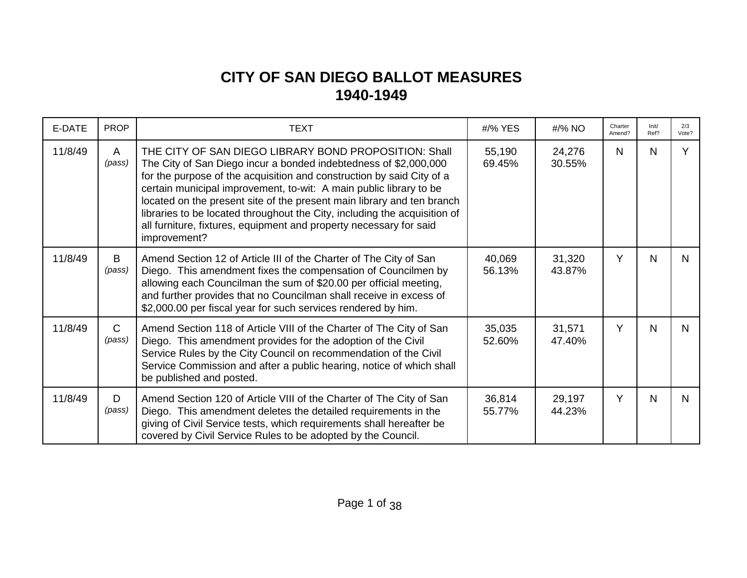## **CITY OF SAN DIEGO BALLOT MEASURES 1940-1949**

| E-DATE  | <b>PROP</b>            | <b>TEXT</b>                                                                                                                                                                                                                                                                                                                                                                                                                                                                                                           | #/% YES          | #/% NO           | Charter<br>Amend? | Init/<br>Ref? | 2/3<br>Vote? |
|---------|------------------------|-----------------------------------------------------------------------------------------------------------------------------------------------------------------------------------------------------------------------------------------------------------------------------------------------------------------------------------------------------------------------------------------------------------------------------------------------------------------------------------------------------------------------|------------------|------------------|-------------------|---------------|--------------|
| 11/8/49 | A<br>(pass)            | THE CITY OF SAN DIEGO LIBRARY BOND PROPOSITION: Shall<br>The City of San Diego incur a bonded indebtedness of \$2,000,000<br>for the purpose of the acquisition and construction by said City of a<br>certain municipal improvement, to-wit: A main public library to be<br>located on the present site of the present main library and ten branch<br>libraries to be located throughout the City, including the acquisition of<br>all furniture, fixtures, equipment and property necessary for said<br>improvement? | 55,190<br>69.45% | 24,276<br>30.55% | N                 | N             | Y            |
| 11/8/49 | B<br>(pass)            | Amend Section 12 of Article III of the Charter of The City of San<br>Diego. This amendment fixes the compensation of Councilmen by<br>allowing each Councilman the sum of \$20.00 per official meeting,<br>and further provides that no Councilman shall receive in excess of<br>\$2,000.00 per fiscal year for such services rendered by him.                                                                                                                                                                        | 40,069<br>56.13% | 31,320<br>43.87% | Y                 | N             | N            |
| 11/8/49 | $\mathsf{C}$<br>(pass) | Amend Section 118 of Article VIII of the Charter of The City of San<br>Diego. This amendment provides for the adoption of the Civil<br>Service Rules by the City Council on recommendation of the Civil<br>Service Commission and after a public hearing, notice of which shall<br>be published and posted.                                                                                                                                                                                                           | 35,035<br>52.60% | 31,571<br>47.40% | Y                 | N             | N            |
| 11/8/49 | D<br>(pass)            | Amend Section 120 of Article VIII of the Charter of The City of San<br>Diego. This amendment deletes the detailed requirements in the<br>giving of Civil Service tests, which requirements shall hereafter be<br>covered by Civil Service Rules to be adopted by the Council.                                                                                                                                                                                                                                         | 36,814<br>55.77% | 29,197<br>44.23% | Y                 | N             | N            |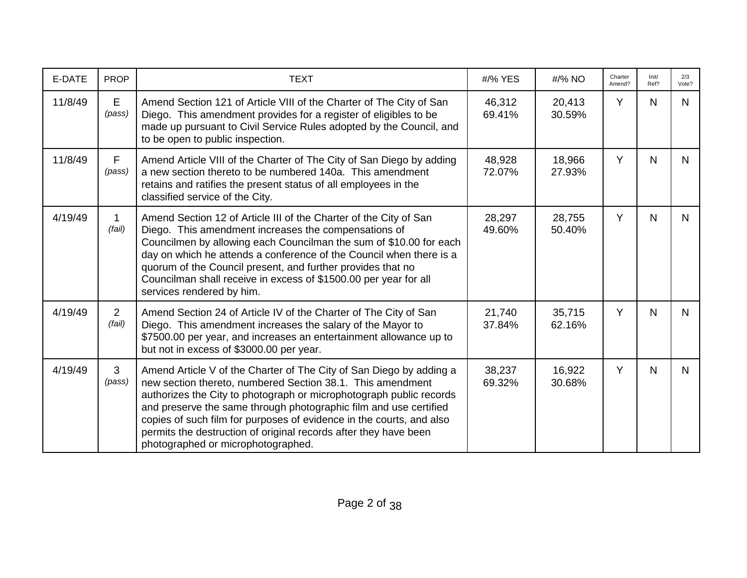| E-DATE  | <b>PROP</b>              | <b>TEXT</b>                                                                                                                                                                                                                                                                                                                                                                                                                                                     | #/% YES          | #/% NO           | Charter<br>Amend? | Init/<br>Ref? | 2/3<br>Vote? |
|---------|--------------------------|-----------------------------------------------------------------------------------------------------------------------------------------------------------------------------------------------------------------------------------------------------------------------------------------------------------------------------------------------------------------------------------------------------------------------------------------------------------------|------------------|------------------|-------------------|---------------|--------------|
| 11/8/49 | E<br>(pass)              | Amend Section 121 of Article VIII of the Charter of The City of San<br>Diego. This amendment provides for a register of eligibles to be<br>made up pursuant to Civil Service Rules adopted by the Council, and<br>to be open to public inspection.                                                                                                                                                                                                              | 46,312<br>69.41% | 20,413<br>30.59% | Y                 | N             | N.           |
| 11/8/49 | $\mathsf F$<br>(pass)    | Amend Article VIII of the Charter of The City of San Diego by adding<br>a new section thereto to be numbered 140a. This amendment<br>retains and ratifies the present status of all employees in the<br>classified service of the City.                                                                                                                                                                                                                         | 48,928<br>72.07% | 18,966<br>27.93% | Y                 | N             | N.           |
| 4/19/49 | 1<br>(fail)              | Amend Section 12 of Article III of the Charter of the City of San<br>Diego. This amendment increases the compensations of<br>Councilmen by allowing each Councilman the sum of \$10.00 for each<br>day on which he attends a conference of the Council when there is a<br>quorum of the Council present, and further provides that no<br>Councilman shall receive in excess of \$1500.00 per year for all<br>services rendered by him.                          | 28,297<br>49.60% | 28,755<br>50.40% | Y                 | $\mathsf{N}$  | N.           |
| 4/19/49 | $\overline{2}$<br>(fail) | Amend Section 24 of Article IV of the Charter of The City of San<br>Diego. This amendment increases the salary of the Mayor to<br>\$7500.00 per year, and increases an entertainment allowance up to<br>but not in excess of \$3000.00 per year.                                                                                                                                                                                                                | 21,740<br>37.84% | 35,715<br>62.16% | Y                 | $\mathsf{N}$  | N.           |
| 4/19/49 | $\mathbf{3}$<br>(pass)   | Amend Article V of the Charter of The City of San Diego by adding a<br>new section thereto, numbered Section 38.1. This amendment<br>authorizes the City to photograph or microphotograph public records<br>and preserve the same through photographic film and use certified<br>copies of such film for purposes of evidence in the courts, and also<br>permits the destruction of original records after they have been<br>photographed or microphotographed. | 38,237<br>69.32% | 16,922<br>30.68% | Y                 | N             | $\mathsf{N}$ |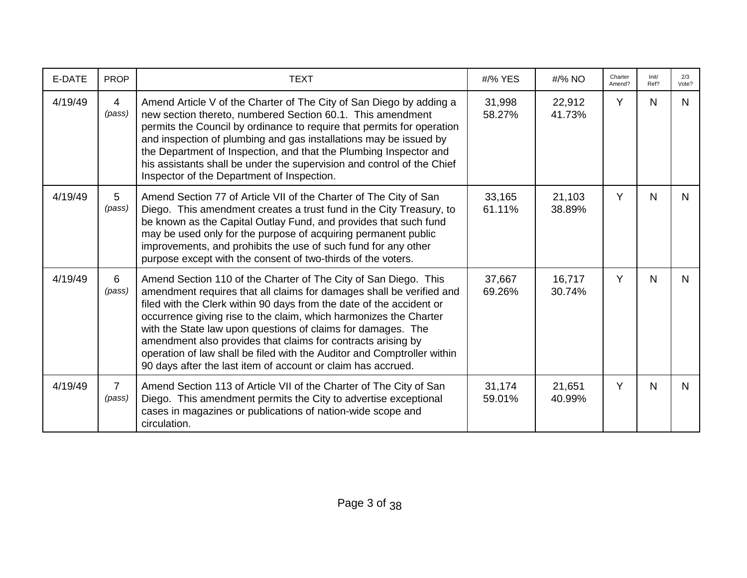| E-DATE  | <b>PROP</b>               | <b>TEXT</b>                                                                                                                                                                                                                                                                                                                                                                                                                                                                                                                                                     | #/% YES          | #/% NO           | Charter<br>Amend? | Init/<br>Ref? | 2/3<br>Vote? |
|---------|---------------------------|-----------------------------------------------------------------------------------------------------------------------------------------------------------------------------------------------------------------------------------------------------------------------------------------------------------------------------------------------------------------------------------------------------------------------------------------------------------------------------------------------------------------------------------------------------------------|------------------|------------------|-------------------|---------------|--------------|
| 4/19/49 | $\overline{4}$<br>(pass)  | Amend Article V of the Charter of The City of San Diego by adding a<br>new section thereto, numbered Section 60.1. This amendment<br>permits the Council by ordinance to require that permits for operation<br>and inspection of plumbing and gas installations may be issued by<br>the Department of Inspection, and that the Plumbing Inspector and<br>his assistants shall be under the supervision and control of the Chief<br>Inspector of the Department of Inspection.                                                                                   | 31,998<br>58.27% | 22,912<br>41.73% | Y                 | N             | N.           |
| 4/19/49 | $5\overline{)}$<br>(pass) | Amend Section 77 of Article VII of the Charter of The City of San<br>Diego. This amendment creates a trust fund in the City Treasury, to<br>be known as the Capital Outlay Fund, and provides that such fund<br>may be used only for the purpose of acquiring permanent public<br>improvements, and prohibits the use of such fund for any other<br>purpose except with the consent of two-thirds of the voters.                                                                                                                                                | 33,165<br>61.11% | 21,103<br>38.89% | Y                 | N             | N.           |
| 4/19/49 | 6<br>(pass)               | Amend Section 110 of the Charter of The City of San Diego. This<br>amendment requires that all claims for damages shall be verified and<br>filed with the Clerk within 90 days from the date of the accident or<br>occurrence giving rise to the claim, which harmonizes the Charter<br>with the State law upon questions of claims for damages. The<br>amendment also provides that claims for contracts arising by<br>operation of law shall be filed with the Auditor and Comptroller within<br>90 days after the last item of account or claim has accrued. | 37,667<br>69.26% | 16,717<br>30.74% | Y                 | N             | N.           |
| 4/19/49 | $\overline{7}$<br>(pass)  | Amend Section 113 of Article VII of the Charter of The City of San<br>Diego. This amendment permits the City to advertise exceptional<br>cases in magazines or publications of nation-wide scope and<br>circulation.                                                                                                                                                                                                                                                                                                                                            | 31,174<br>59.01% | 21,651<br>40.99% | Y                 | $\mathsf{N}$  | N.           |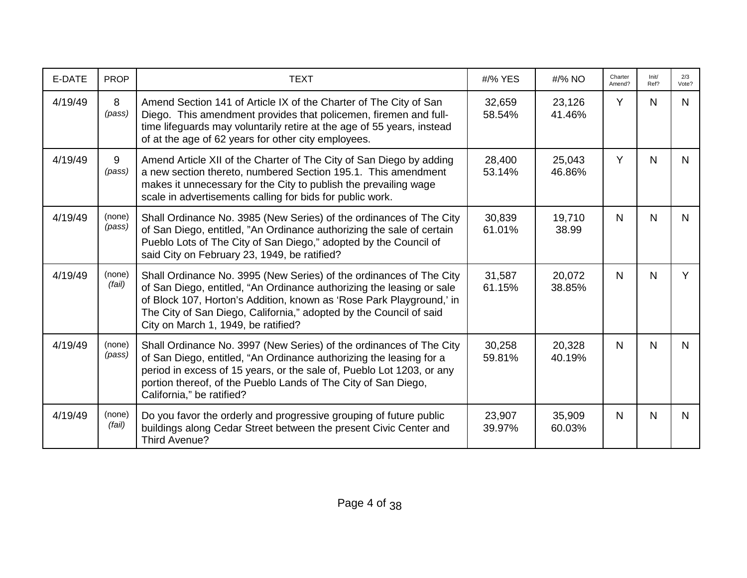| E-DATE  | <b>PROP</b>      | <b>TEXT</b>                                                                                                                                                                                                                                                                                                                       | #/% YES          | #/% NO           | Charter<br>Amend? | Init/<br>Ref? | 2/3<br>Vote? |
|---------|------------------|-----------------------------------------------------------------------------------------------------------------------------------------------------------------------------------------------------------------------------------------------------------------------------------------------------------------------------------|------------------|------------------|-------------------|---------------|--------------|
| 4/19/49 | 8<br>(pass)      | Amend Section 141 of Article IX of the Charter of The City of San<br>Diego. This amendment provides that policemen, firemen and full-<br>time lifeguards may voluntarily retire at the age of 55 years, instead<br>of at the age of 62 years for other city employees.                                                            | 32,659<br>58.54% | 23,126<br>41.46% | Y                 | N             | N.           |
| 4/19/49 | 9<br>(pass)      | Amend Article XII of the Charter of The City of San Diego by adding<br>a new section thereto, numbered Section 195.1. This amendment<br>makes it unnecessary for the City to publish the prevailing wage<br>scale in advertisements calling for bids for public work.                                                             | 28,400<br>53.14% | 25,043<br>46.86% | Y                 | N             | N.           |
| 4/19/49 | (none)<br>(pass) | Shall Ordinance No. 3985 (New Series) of the ordinances of The City<br>of San Diego, entitled, "An Ordinance authorizing the sale of certain<br>Pueblo Lots of The City of San Diego," adopted by the Council of<br>said City on February 23, 1949, be ratified?                                                                  | 30,839<br>61.01% | 19,710<br>38.99  | N                 | $\mathsf{N}$  | N.           |
| 4/19/49 | (none)<br>(fail) | Shall Ordinance No. 3995 (New Series) of the ordinances of The City<br>of San Diego, entitled, "An Ordinance authorizing the leasing or sale<br>of Block 107, Horton's Addition, known as 'Rose Park Playground,' in<br>The City of San Diego, California," adopted by the Council of said<br>City on March 1, 1949, be ratified? | 31,587<br>61.15% | 20,072<br>38.85% | N                 | N             | Y            |
| 4/19/49 | (none)<br>(pass) | Shall Ordinance No. 3997 (New Series) of the ordinances of The City<br>of San Diego, entitled, "An Ordinance authorizing the leasing for a<br>period in excess of 15 years, or the sale of, Pueblo Lot 1203, or any<br>portion thereof, of the Pueblo Lands of The City of San Diego,<br>California," be ratified?                | 30,258<br>59.81% | 20,328<br>40.19% | N                 | $\mathsf{N}$  | N.           |
| 4/19/49 | (none)<br>(fail) | Do you favor the orderly and progressive grouping of future public<br>buildings along Cedar Street between the present Civic Center and<br>Third Avenue?                                                                                                                                                                          | 23,907<br>39.97% | 35,909<br>60.03% | N                 | N             | N.           |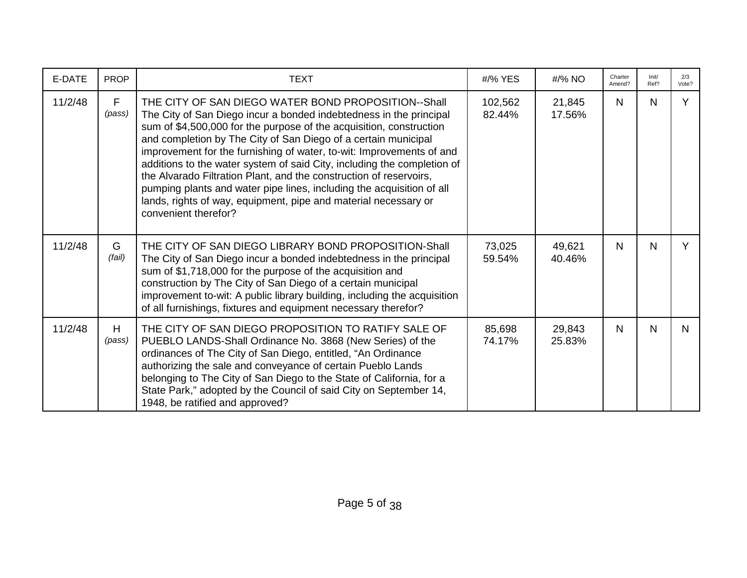| E-DATE  | <b>PROP</b> | <b>TEXT</b>                                                                                                                                                                                                                                                                                                                                                                                                                                                                                                                                                                                                                                                     | #/% YES           | #/% NO           | Charter<br>Amend? | Init/<br>Ref? | 2/3<br>Vote? |
|---------|-------------|-----------------------------------------------------------------------------------------------------------------------------------------------------------------------------------------------------------------------------------------------------------------------------------------------------------------------------------------------------------------------------------------------------------------------------------------------------------------------------------------------------------------------------------------------------------------------------------------------------------------------------------------------------------------|-------------------|------------------|-------------------|---------------|--------------|
| 11/2/48 | F<br>(pass) | THE CITY OF SAN DIEGO WATER BOND PROPOSITION--Shall<br>The City of San Diego incur a bonded indebtedness in the principal<br>sum of \$4,500,000 for the purpose of the acquisition, construction<br>and completion by The City of San Diego of a certain municipal<br>improvement for the furnishing of water, to-wit: Improvements of and<br>additions to the water system of said City, including the completion of<br>the Alvarado Filtration Plant, and the construction of reservoirs,<br>pumping plants and water pipe lines, including the acquisition of all<br>lands, rights of way, equipment, pipe and material necessary or<br>convenient therefor? | 102,562<br>82.44% | 21,845<br>17.56% | N.                | N             | Y            |
| 11/2/48 | G<br>(fail) | THE CITY OF SAN DIEGO LIBRARY BOND PROPOSITION-Shall<br>The City of San Diego incur a bonded indebtedness in the principal<br>sum of \$1,718,000 for the purpose of the acquisition and<br>construction by The City of San Diego of a certain municipal<br>improvement to-wit: A public library building, including the acquisition<br>of all furnishings, fixtures and equipment necessary therefor?                                                                                                                                                                                                                                                           | 73,025<br>59.54%  | 49,621<br>40.46% | $\mathsf{N}$      | N             | Y            |
| 11/2/48 | H<br>(pass) | THE CITY OF SAN DIEGO PROPOSITION TO RATIFY SALE OF<br>PUEBLO LANDS-Shall Ordinance No. 3868 (New Series) of the<br>ordinances of The City of San Diego, entitled, "An Ordinance<br>authorizing the sale and conveyance of certain Pueblo Lands<br>belonging to The City of San Diego to the State of California, for a<br>State Park," adopted by the Council of said City on September 14,<br>1948, be ratified and approved?                                                                                                                                                                                                                                 | 85,698<br>74.17%  | 29,843<br>25.83% | $\mathsf{N}$      | N             | N            |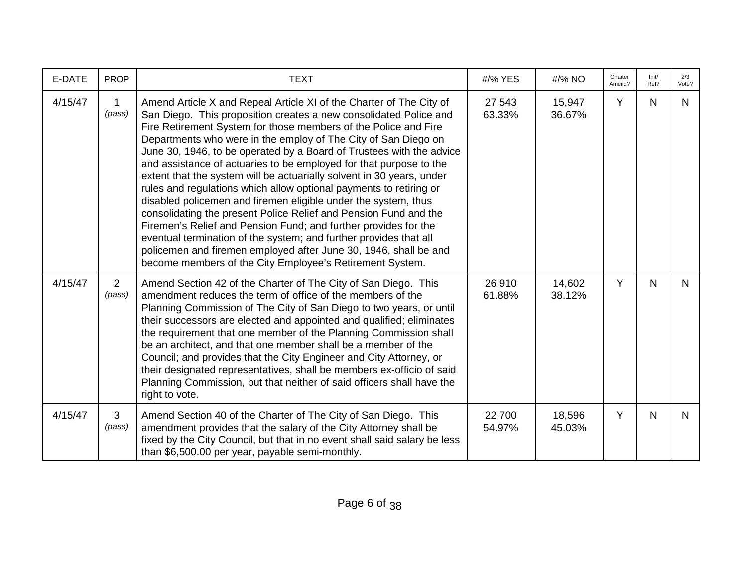| E-DATE  | <b>PROP</b>              | <b>TEXT</b>                                                                                                                                                                                                                                                                                                                                                                                                                                                                                                                                                                                                                                                                                                                                                                                                                                                                                                                                                                              | #/% YES          | #/% NO           | Charter<br>Amend? | Init/<br>Ref? | 2/3<br>Vote? |
|---------|--------------------------|------------------------------------------------------------------------------------------------------------------------------------------------------------------------------------------------------------------------------------------------------------------------------------------------------------------------------------------------------------------------------------------------------------------------------------------------------------------------------------------------------------------------------------------------------------------------------------------------------------------------------------------------------------------------------------------------------------------------------------------------------------------------------------------------------------------------------------------------------------------------------------------------------------------------------------------------------------------------------------------|------------------|------------------|-------------------|---------------|--------------|
| 4/15/47 | 1<br>(pass)              | Amend Article X and Repeal Article XI of the Charter of The City of<br>San Diego. This proposition creates a new consolidated Police and<br>Fire Retirement System for those members of the Police and Fire<br>Departments who were in the employ of The City of San Diego on<br>June 30, 1946, to be operated by a Board of Trustees with the advice<br>and assistance of actuaries to be employed for that purpose to the<br>extent that the system will be actuarially solvent in 30 years, under<br>rules and regulations which allow optional payments to retiring or<br>disabled policemen and firemen eligible under the system, thus<br>consolidating the present Police Relief and Pension Fund and the<br>Firemen's Relief and Pension Fund; and further provides for the<br>eventual termination of the system; and further provides that all<br>policemen and firemen employed after June 30, 1946, shall be and<br>become members of the City Employee's Retirement System. | 27,543<br>63.33% | 15,947<br>36.67% | Y                 | N             | N.           |
| 4/15/47 | $\overline{2}$<br>(pass) | Amend Section 42 of the Charter of The City of San Diego. This<br>amendment reduces the term of office of the members of the<br>Planning Commission of The City of San Diego to two years, or until<br>their successors are elected and appointed and qualified; eliminates<br>the requirement that one member of the Planning Commission shall<br>be an architect, and that one member shall be a member of the<br>Council; and provides that the City Engineer and City Attorney, or<br>their designated representatives, shall be members ex-officio of said<br>Planning Commission, but that neither of said officers shall have the<br>right to vote.                                                                                                                                                                                                                                                                                                                               | 26,910<br>61.88% | 14,602<br>38.12% | Y                 | $\mathsf{N}$  | N.           |
| 4/15/47 | 3<br>(pass)              | Amend Section 40 of the Charter of The City of San Diego. This<br>amendment provides that the salary of the City Attorney shall be<br>fixed by the City Council, but that in no event shall said salary be less<br>than \$6,500.00 per year, payable semi-monthly.                                                                                                                                                                                                                                                                                                                                                                                                                                                                                                                                                                                                                                                                                                                       | 22,700<br>54.97% | 18,596<br>45.03% | Y                 | N             | N            |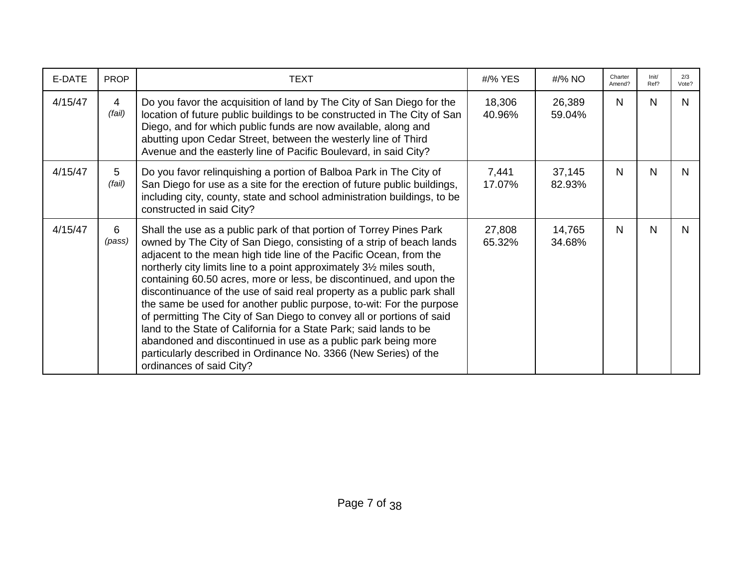| E-DATE  | <b>PROP</b> | <b>TEXT</b>                                                                                                                                                                                                                                                                                                                                                                                                                                                                                                                                                                                                                                                                                                                                                                                                                         | #/% YES          | $\frac{\text{H}}{96}$ NO | Charter<br>Amend? | Init/<br>Ref? | 2/3<br>Vote? |
|---------|-------------|-------------------------------------------------------------------------------------------------------------------------------------------------------------------------------------------------------------------------------------------------------------------------------------------------------------------------------------------------------------------------------------------------------------------------------------------------------------------------------------------------------------------------------------------------------------------------------------------------------------------------------------------------------------------------------------------------------------------------------------------------------------------------------------------------------------------------------------|------------------|--------------------------|-------------------|---------------|--------------|
| 4/15/47 | 4<br>(fail) | Do you favor the acquisition of land by The City of San Diego for the<br>location of future public buildings to be constructed in The City of San<br>Diego, and for which public funds are now available, along and<br>abutting upon Cedar Street, between the westerly line of Third<br>Avenue and the easterly line of Pacific Boulevard, in said City?                                                                                                                                                                                                                                                                                                                                                                                                                                                                           | 18,306<br>40.96% | 26,389<br>59.04%         | N                 | N             | N            |
| 4/15/47 | 5<br>(fail) | Do you favor relinquishing a portion of Balboa Park in The City of<br>San Diego for use as a site for the erection of future public buildings,<br>including city, county, state and school administration buildings, to be<br>constructed in said City?                                                                                                                                                                                                                                                                                                                                                                                                                                                                                                                                                                             | 7,441<br>17.07%  | 37,145<br>82.93%         | N                 | N             | N.           |
| 4/15/47 | 6<br>(pass) | Shall the use as a public park of that portion of Torrey Pines Park<br>owned by The City of San Diego, consisting of a strip of beach lands<br>adjacent to the mean high tide line of the Pacific Ocean, from the<br>northerly city limits line to a point approximately 31/2 miles south,<br>containing 60.50 acres, more or less, be discontinued, and upon the<br>discontinuance of the use of said real property as a public park shall<br>the same be used for another public purpose, to-wit: For the purpose<br>of permitting The City of San Diego to convey all or portions of said<br>land to the State of California for a State Park; said lands to be<br>abandoned and discontinued in use as a public park being more<br>particularly described in Ordinance No. 3366 (New Series) of the<br>ordinances of said City? | 27,808<br>65.32% | 14,765<br>34.68%         | N                 | N             | N            |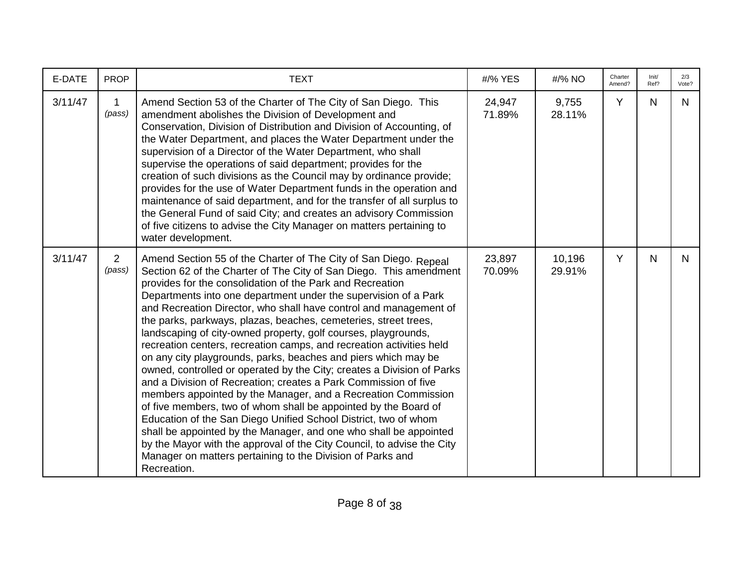| E-DATE  | <b>PROP</b>              | <b>TEXT</b>                                                                                                                                                                                                                                                                                                                                                                                                                                                                                                                                                                                                                                                                                                                                                                                                                                                                                                                                                                                                                                                                                                                                                                                                | #/% YES          | #/% NO           | Charter<br>Amend? | Init/<br>Ref? | 2/3<br>Vote? |
|---------|--------------------------|------------------------------------------------------------------------------------------------------------------------------------------------------------------------------------------------------------------------------------------------------------------------------------------------------------------------------------------------------------------------------------------------------------------------------------------------------------------------------------------------------------------------------------------------------------------------------------------------------------------------------------------------------------------------------------------------------------------------------------------------------------------------------------------------------------------------------------------------------------------------------------------------------------------------------------------------------------------------------------------------------------------------------------------------------------------------------------------------------------------------------------------------------------------------------------------------------------|------------------|------------------|-------------------|---------------|--------------|
| 3/11/47 | 1<br>(pass)              | Amend Section 53 of the Charter of The City of San Diego. This<br>amendment abolishes the Division of Development and<br>Conservation, Division of Distribution and Division of Accounting, of<br>the Water Department, and places the Water Department under the<br>supervision of a Director of the Water Department, who shall<br>supervise the operations of said department; provides for the<br>creation of such divisions as the Council may by ordinance provide;<br>provides for the use of Water Department funds in the operation and<br>maintenance of said department, and for the transfer of all surplus to<br>the General Fund of said City; and creates an advisory Commission<br>of five citizens to advise the City Manager on matters pertaining to<br>water development.                                                                                                                                                                                                                                                                                                                                                                                                              | 24,947<br>71.89% | 9,755<br>28.11%  | Y                 | N.            | N.           |
| 3/11/47 | $\overline{2}$<br>(pass) | Amend Section 55 of the Charter of The City of San Diego. Repeal<br>Section 62 of the Charter of The City of San Diego. This amendment<br>provides for the consolidation of the Park and Recreation<br>Departments into one department under the supervision of a Park<br>and Recreation Director, who shall have control and management of<br>the parks, parkways, plazas, beaches, cemeteries, street trees,<br>landscaping of city-owned property, golf courses, playgrounds,<br>recreation centers, recreation camps, and recreation activities held<br>on any city playgrounds, parks, beaches and piers which may be<br>owned, controlled or operated by the City; creates a Division of Parks<br>and a Division of Recreation; creates a Park Commission of five<br>members appointed by the Manager, and a Recreation Commission<br>of five members, two of whom shall be appointed by the Board of<br>Education of the San Diego Unified School District, two of whom<br>shall be appointed by the Manager, and one who shall be appointed<br>by the Mayor with the approval of the City Council, to advise the City<br>Manager on matters pertaining to the Division of Parks and<br>Recreation. | 23,897<br>70.09% | 10,196<br>29.91% | Y                 | N             | N.           |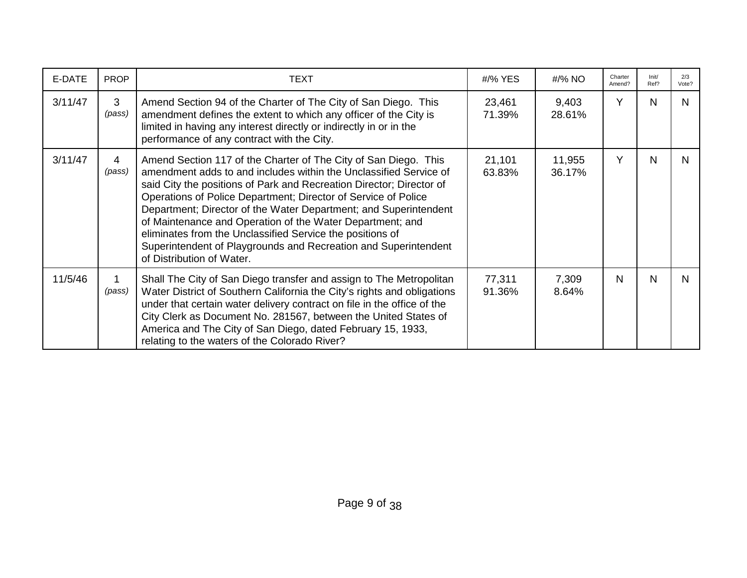| E-DATE  | <b>PROP</b> | TEXT                                                                                                                                                                                                                                                                                                                                                                                                                                                                                                                                                                         | #/% YES          | #/% NO           | Charter<br>Amend? | Init/<br>Ref? | 2/3<br>Vote? |
|---------|-------------|------------------------------------------------------------------------------------------------------------------------------------------------------------------------------------------------------------------------------------------------------------------------------------------------------------------------------------------------------------------------------------------------------------------------------------------------------------------------------------------------------------------------------------------------------------------------------|------------------|------------------|-------------------|---------------|--------------|
| 3/11/47 | 3<br>(pass) | Amend Section 94 of the Charter of The City of San Diego. This<br>amendment defines the extent to which any officer of the City is<br>limited in having any interest directly or indirectly in or in the<br>performance of any contract with the City.                                                                                                                                                                                                                                                                                                                       | 23,461<br>71.39% | 9,403<br>28.61%  | Y                 | N             | N.           |
| 3/11/47 | 4<br>(pass) | Amend Section 117 of the Charter of The City of San Diego. This<br>amendment adds to and includes within the Unclassified Service of<br>said City the positions of Park and Recreation Director; Director of<br>Operations of Police Department; Director of Service of Police<br>Department; Director of the Water Department; and Superintendent<br>of Maintenance and Operation of the Water Department; and<br>eliminates from the Unclassified Service the positions of<br>Superintendent of Playgrounds and Recreation and Superintendent<br>of Distribution of Water. | 21,101<br>63.83% | 11,955<br>36.17% | Y                 | N             | N.           |
| 11/5/46 | (pass)      | Shall The City of San Diego transfer and assign to The Metropolitan<br>Water District of Southern California the City's rights and obligations<br>under that certain water delivery contract on file in the office of the<br>City Clerk as Document No. 281567, between the United States of<br>America and The City of San Diego, dated February 15, 1933,<br>relating to the waters of the Colorado River?                                                                                                                                                                 | 77,311<br>91.36% | 7,309<br>8.64%   | N                 | N             | N.           |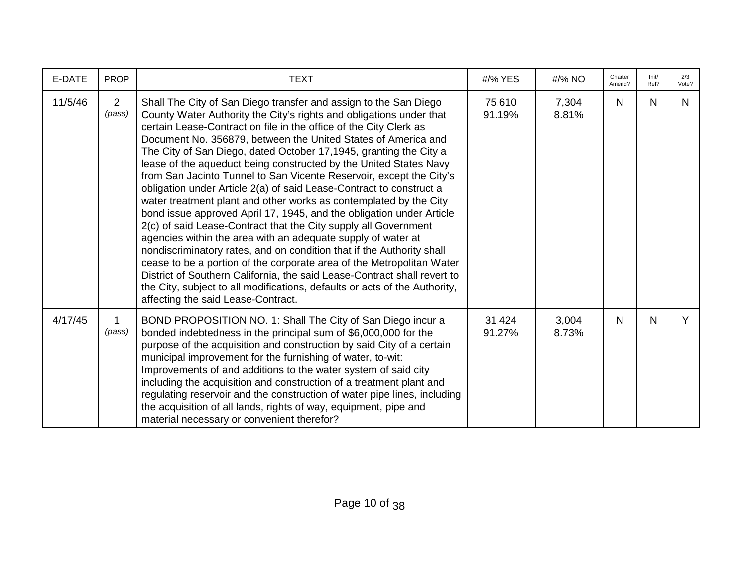| E-DATE  | <b>PROP</b>              | <b>TEXT</b>                                                                                                                                                                                                                                                                                                                                                                                                                                                                                                                                                                                                                                                                                                                                                                                                                                                                                                                                                                                                                                                                                                                                                                                             | #/% YES          | #/% NO         | Charter<br>Amend? | Init/<br>Ref? | 2/3<br>Vote? |
|---------|--------------------------|---------------------------------------------------------------------------------------------------------------------------------------------------------------------------------------------------------------------------------------------------------------------------------------------------------------------------------------------------------------------------------------------------------------------------------------------------------------------------------------------------------------------------------------------------------------------------------------------------------------------------------------------------------------------------------------------------------------------------------------------------------------------------------------------------------------------------------------------------------------------------------------------------------------------------------------------------------------------------------------------------------------------------------------------------------------------------------------------------------------------------------------------------------------------------------------------------------|------------------|----------------|-------------------|---------------|--------------|
| 11/5/46 | $\overline{2}$<br>(pass) | Shall The City of San Diego transfer and assign to the San Diego<br>County Water Authority the City's rights and obligations under that<br>certain Lease-Contract on file in the office of the City Clerk as<br>Document No. 356879, between the United States of America and<br>The City of San Diego, dated October 17,1945, granting the City a<br>lease of the aqueduct being constructed by the United States Navy<br>from San Jacinto Tunnel to San Vicente Reservoir, except the City's<br>obligation under Article 2(a) of said Lease-Contract to construct a<br>water treatment plant and other works as contemplated by the City<br>bond issue approved April 17, 1945, and the obligation under Article<br>2(c) of said Lease-Contract that the City supply all Government<br>agencies within the area with an adequate supply of water at<br>nondiscriminatory rates, and on condition that if the Authority shall<br>cease to be a portion of the corporate area of the Metropolitan Water<br>District of Southern California, the said Lease-Contract shall revert to<br>the City, subject to all modifications, defaults or acts of the Authority,<br>affecting the said Lease-Contract. | 75,610<br>91.19% | 7,304<br>8.81% | N.                | N             | N            |
| 4/17/45 | (pass)                   | BOND PROPOSITION NO. 1: Shall The City of San Diego incur a<br>bonded indebtedness in the principal sum of \$6,000,000 for the<br>purpose of the acquisition and construction by said City of a certain<br>municipal improvement for the furnishing of water, to-wit:<br>Improvements of and additions to the water system of said city<br>including the acquisition and construction of a treatment plant and<br>regulating reservoir and the construction of water pipe lines, including<br>the acquisition of all lands, rights of way, equipment, pipe and<br>material necessary or convenient therefor?                                                                                                                                                                                                                                                                                                                                                                                                                                                                                                                                                                                            | 31,424<br>91.27% | 3,004<br>8.73% | N                 | $\mathsf{N}$  | Y            |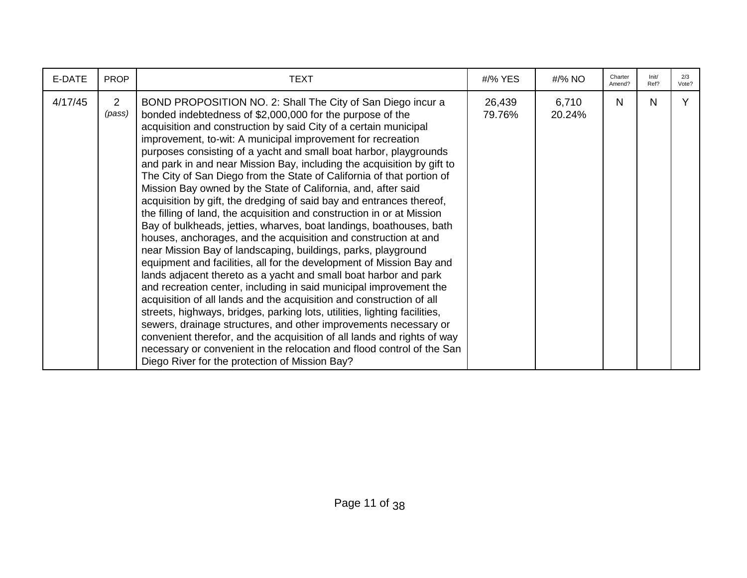| E-DATE  | <b>PROP</b>              | <b>TEXT</b>                                                                                                                                                                                                                                                                                                                                                                                                                                                                                                                                                                                                                                                                                                                                                                                                                                                                                                                                                                                                                                                                                                                                                                                                                                                                                                                                                                                                                                                                                                                                                         | #/% YES          | #/% NO          | Charter<br>Amend? | Init/<br>Ref? | 2/3<br>Vote? |
|---------|--------------------------|---------------------------------------------------------------------------------------------------------------------------------------------------------------------------------------------------------------------------------------------------------------------------------------------------------------------------------------------------------------------------------------------------------------------------------------------------------------------------------------------------------------------------------------------------------------------------------------------------------------------------------------------------------------------------------------------------------------------------------------------------------------------------------------------------------------------------------------------------------------------------------------------------------------------------------------------------------------------------------------------------------------------------------------------------------------------------------------------------------------------------------------------------------------------------------------------------------------------------------------------------------------------------------------------------------------------------------------------------------------------------------------------------------------------------------------------------------------------------------------------------------------------------------------------------------------------|------------------|-----------------|-------------------|---------------|--------------|
| 4/17/45 | $\overline{2}$<br>(pass) | BOND PROPOSITION NO. 2: Shall The City of San Diego incur a<br>bonded indebtedness of \$2,000,000 for the purpose of the<br>acquisition and construction by said City of a certain municipal<br>improvement, to-wit: A municipal improvement for recreation<br>purposes consisting of a yacht and small boat harbor, playgrounds<br>and park in and near Mission Bay, including the acquisition by gift to<br>The City of San Diego from the State of California of that portion of<br>Mission Bay owned by the State of California, and, after said<br>acquisition by gift, the dredging of said bay and entrances thereof,<br>the filling of land, the acquisition and construction in or at Mission<br>Bay of bulkheads, jetties, wharves, boat landings, boathouses, bath<br>houses, anchorages, and the acquisition and construction at and<br>near Mission Bay of landscaping, buildings, parks, playground<br>equipment and facilities, all for the development of Mission Bay and<br>lands adjacent thereto as a yacht and small boat harbor and park<br>and recreation center, including in said municipal improvement the<br>acquisition of all lands and the acquisition and construction of all<br>streets, highways, bridges, parking lots, utilities, lighting facilities,<br>sewers, drainage structures, and other improvements necessary or<br>convenient therefor, and the acquisition of all lands and rights of way<br>necessary or convenient in the relocation and flood control of the San<br>Diego River for the protection of Mission Bay? | 26,439<br>79.76% | 6,710<br>20.24% | N                 | N             | Y            |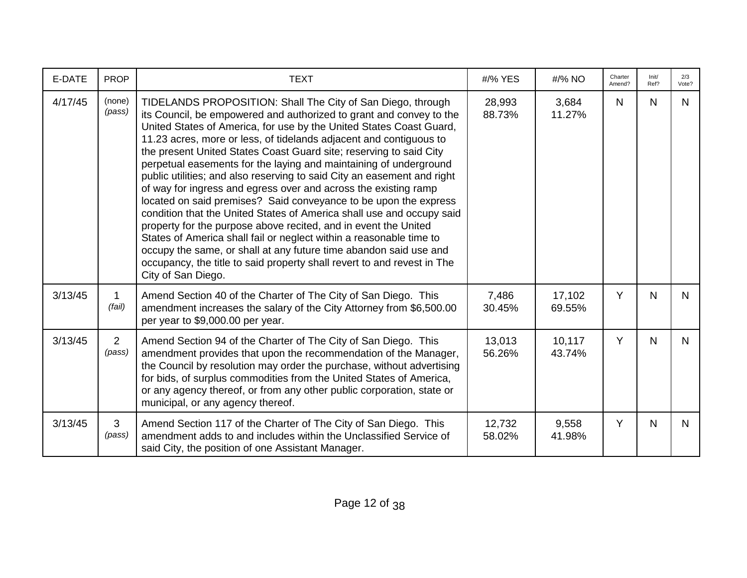| E-DATE  | <b>PROP</b>              | <b>TEXT</b>                                                                                                                                                                                                                                                                                                                                                                                                                                                                                                                                                                                                                                                                                                                                                                                                                                                                                                                                                                                                                           | #/% YES          | #/% NO           | Charter<br>Amend? | Init/<br>Ref? | 2/3<br>Vote? |
|---------|--------------------------|---------------------------------------------------------------------------------------------------------------------------------------------------------------------------------------------------------------------------------------------------------------------------------------------------------------------------------------------------------------------------------------------------------------------------------------------------------------------------------------------------------------------------------------------------------------------------------------------------------------------------------------------------------------------------------------------------------------------------------------------------------------------------------------------------------------------------------------------------------------------------------------------------------------------------------------------------------------------------------------------------------------------------------------|------------------|------------------|-------------------|---------------|--------------|
| 4/17/45 | (none)<br>(pass)         | TIDELANDS PROPOSITION: Shall The City of San Diego, through<br>its Council, be empowered and authorized to grant and convey to the<br>United States of America, for use by the United States Coast Guard,<br>11.23 acres, more or less, of tidelands adjacent and contiguous to<br>the present United States Coast Guard site; reserving to said City<br>perpetual easements for the laying and maintaining of underground<br>public utilities; and also reserving to said City an easement and right<br>of way for ingress and egress over and across the existing ramp<br>located on said premises? Said conveyance to be upon the express<br>condition that the United States of America shall use and occupy said<br>property for the purpose above recited, and in event the United<br>States of America shall fail or neglect within a reasonable time to<br>occupy the same, or shall at any future time abandon said use and<br>occupancy, the title to said property shall revert to and revest in The<br>City of San Diego. | 28,993<br>88.73% | 3,684<br>11.27%  | N                 | N             | N.           |
| 3/13/45 | 1<br>(fail)              | Amend Section 40 of the Charter of The City of San Diego. This<br>amendment increases the salary of the City Attorney from \$6,500.00<br>per year to \$9,000.00 per year.                                                                                                                                                                                                                                                                                                                                                                                                                                                                                                                                                                                                                                                                                                                                                                                                                                                             | 7,486<br>30.45%  | 17,102<br>69.55% | Y                 | N             | N.           |
| 3/13/45 | $\overline{2}$<br>(pass) | Amend Section 94 of the Charter of The City of San Diego. This<br>amendment provides that upon the recommendation of the Manager,<br>the Council by resolution may order the purchase, without advertising<br>for bids, of surplus commodities from the United States of America,<br>or any agency thereof, or from any other public corporation, state or<br>municipal, or any agency thereof.                                                                                                                                                                                                                                                                                                                                                                                                                                                                                                                                                                                                                                       | 13,013<br>56.26% | 10,117<br>43.74% | Y                 | N             | N.           |
| 3/13/45 | 3<br>(pass)              | Amend Section 117 of the Charter of The City of San Diego. This<br>amendment adds to and includes within the Unclassified Service of<br>said City, the position of one Assistant Manager.                                                                                                                                                                                                                                                                                                                                                                                                                                                                                                                                                                                                                                                                                                                                                                                                                                             | 12,732<br>58.02% | 9,558<br>41.98%  | Y                 | $\mathsf{N}$  | N            |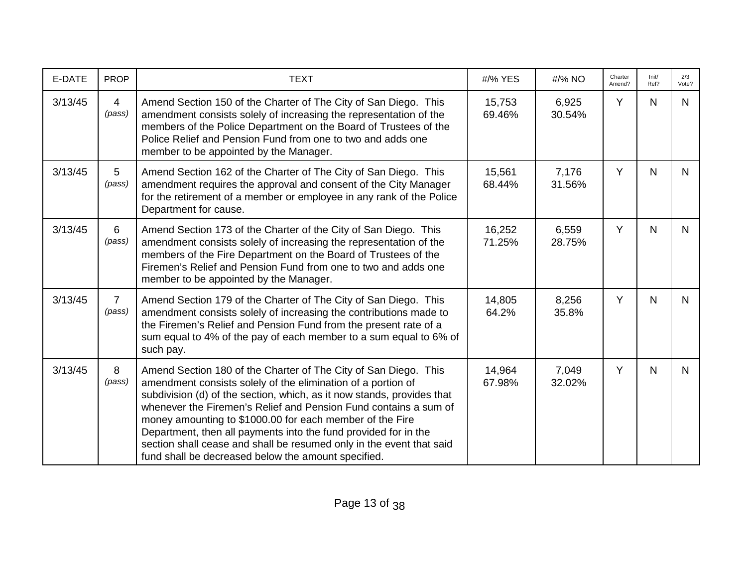| E-DATE  | <b>PROP</b>               | <b>TEXT</b>                                                                                                                                                                                                                                                                                                                                                                                                                                                                                                                                 | #/% YES          | #/% NO          | Charter<br>Amend? | Init/<br>Ref? | 2/3<br>Vote? |
|---------|---------------------------|---------------------------------------------------------------------------------------------------------------------------------------------------------------------------------------------------------------------------------------------------------------------------------------------------------------------------------------------------------------------------------------------------------------------------------------------------------------------------------------------------------------------------------------------|------------------|-----------------|-------------------|---------------|--------------|
| 3/13/45 | $\overline{4}$<br>(pass)  | Amend Section 150 of the Charter of The City of San Diego. This<br>amendment consists solely of increasing the representation of the<br>members of the Police Department on the Board of Trustees of the<br>Police Relief and Pension Fund from one to two and adds one<br>member to be appointed by the Manager.                                                                                                                                                                                                                           | 15,753<br>69.46% | 6,925<br>30.54% | Y                 | N             | N            |
| 3/13/45 | $5\phantom{.0}$<br>(pass) | Amend Section 162 of the Charter of The City of San Diego. This<br>amendment requires the approval and consent of the City Manager<br>for the retirement of a member or employee in any rank of the Police<br>Department for cause.                                                                                                                                                                                                                                                                                                         | 15,561<br>68.44% | 7,176<br>31.56% | Y                 | N             | N.           |
| 3/13/45 | 6<br>(pass)               | Amend Section 173 of the Charter of the City of San Diego. This<br>amendment consists solely of increasing the representation of the<br>members of the Fire Department on the Board of Trustees of the<br>Firemen's Relief and Pension Fund from one to two and adds one<br>member to be appointed by the Manager.                                                                                                                                                                                                                          | 16,252<br>71.25% | 6,559<br>28.75% | Y                 | N             | N.           |
| 3/13/45 | $\overline{7}$<br>(pass)  | Amend Section 179 of the Charter of The City of San Diego. This<br>amendment consists solely of increasing the contributions made to<br>the Firemen's Relief and Pension Fund from the present rate of a<br>sum equal to 4% of the pay of each member to a sum equal to 6% of<br>such pay.                                                                                                                                                                                                                                                  | 14,805<br>64.2%  | 8,256<br>35.8%  | Y                 | N             | N.           |
| 3/13/45 | 8<br>(pass)               | Amend Section 180 of the Charter of The City of San Diego. This<br>amendment consists solely of the elimination of a portion of<br>subdivision (d) of the section, which, as it now stands, provides that<br>whenever the Firemen's Relief and Pension Fund contains a sum of<br>money amounting to \$1000.00 for each member of the Fire<br>Department, then all payments into the fund provided for in the<br>section shall cease and shall be resumed only in the event that said<br>fund shall be decreased below the amount specified. | 14,964<br>67.98% | 7,049<br>32.02% | Y                 | $\mathsf{N}$  | N.           |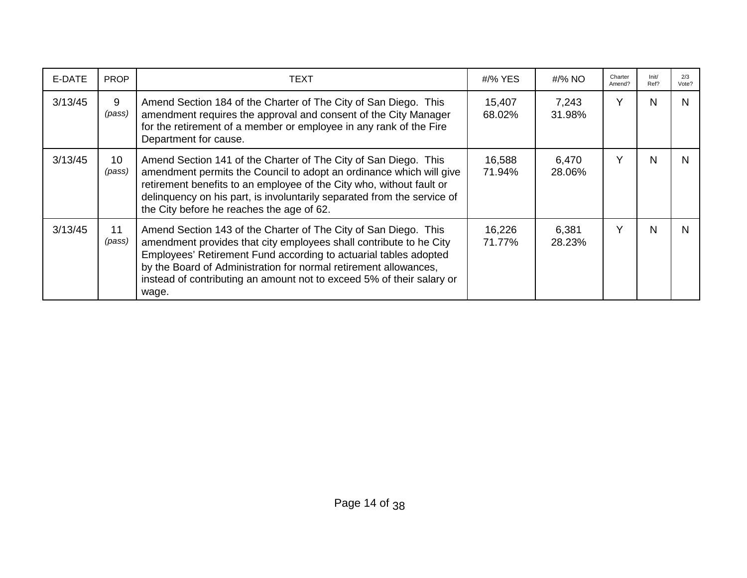| E-DATE  | <b>PROP</b>  | <b>TEXT</b>                                                                                                                                                                                                                                                                                                                                                     | #/% YES          | #/% NO          | Charter<br>Amend? | Init/<br>Ref? | 2/3<br>Vote? |
|---------|--------------|-----------------------------------------------------------------------------------------------------------------------------------------------------------------------------------------------------------------------------------------------------------------------------------------------------------------------------------------------------------------|------------------|-----------------|-------------------|---------------|--------------|
| 3/13/45 | 9<br>(pass)  | Amend Section 184 of the Charter of The City of San Diego. This<br>amendment requires the approval and consent of the City Manager<br>for the retirement of a member or employee in any rank of the Fire<br>Department for cause.                                                                                                                               | 15,407<br>68.02% | 7,243<br>31.98% | v                 | N             | N            |
| 3/13/45 | 10<br>(pass) | Amend Section 141 of the Charter of The City of San Diego. This<br>amendment permits the Council to adopt an ordinance which will give<br>retirement benefits to an employee of the City who, without fault or<br>delinquency on his part, is involuntarily separated from the service of<br>the City before he reaches the age of 62.                          | 16,588<br>71.94% | 6,470<br>28.06% | v                 | N             | N            |
| 3/13/45 | 11<br>(pass) | Amend Section 143 of the Charter of The City of San Diego. This<br>amendment provides that city employees shall contribute to he City<br>Employees' Retirement Fund according to actuarial tables adopted<br>by the Board of Administration for normal retirement allowances,<br>instead of contributing an amount not to exceed 5% of their salary or<br>wage. | 16,226<br>71.77% | 6,381<br>28.23% | Y                 | N             | N.           |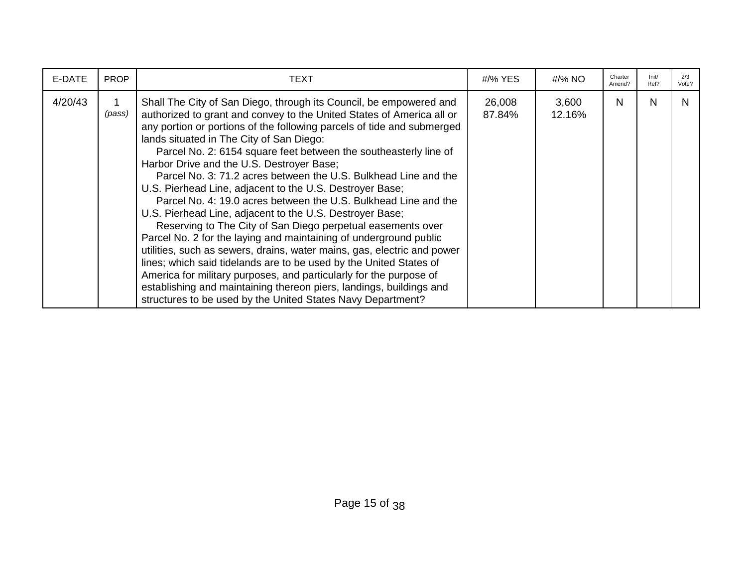| E-DATE  | <b>PROP</b> | TEXT                                                                                                                                                                                                                                                                                                                                                                                                                                                                                                                                                                                                                                                                                                                                                                                                                                                                                                                                                                                                                                                                                                                                              | #/% YES          | #/% NO          | Charter<br>Amend? | Init/<br>Ref? | 2/3<br>Vote? |
|---------|-------------|---------------------------------------------------------------------------------------------------------------------------------------------------------------------------------------------------------------------------------------------------------------------------------------------------------------------------------------------------------------------------------------------------------------------------------------------------------------------------------------------------------------------------------------------------------------------------------------------------------------------------------------------------------------------------------------------------------------------------------------------------------------------------------------------------------------------------------------------------------------------------------------------------------------------------------------------------------------------------------------------------------------------------------------------------------------------------------------------------------------------------------------------------|------------------|-----------------|-------------------|---------------|--------------|
| 4/20/43 | (pass)      | Shall The City of San Diego, through its Council, be empowered and<br>authorized to grant and convey to the United States of America all or<br>any portion or portions of the following parcels of tide and submerged<br>lands situated in The City of San Diego:<br>Parcel No. 2: 6154 square feet between the southeasterly line of<br>Harbor Drive and the U.S. Destroyer Base;<br>Parcel No. 3: 71.2 acres between the U.S. Bulkhead Line and the<br>U.S. Pierhead Line, adjacent to the U.S. Destroyer Base;<br>Parcel No. 4: 19.0 acres between the U.S. Bulkhead Line and the<br>U.S. Pierhead Line, adjacent to the U.S. Destroyer Base;<br>Reserving to The City of San Diego perpetual easements over<br>Parcel No. 2 for the laying and maintaining of underground public<br>utilities, such as sewers, drains, water mains, gas, electric and power<br>lines; which said tidelands are to be used by the United States of<br>America for military purposes, and particularly for the purpose of<br>establishing and maintaining thereon piers, landings, buildings and<br>structures to be used by the United States Navy Department? | 26,008<br>87.84% | 3,600<br>12.16% | N                 | N             | N            |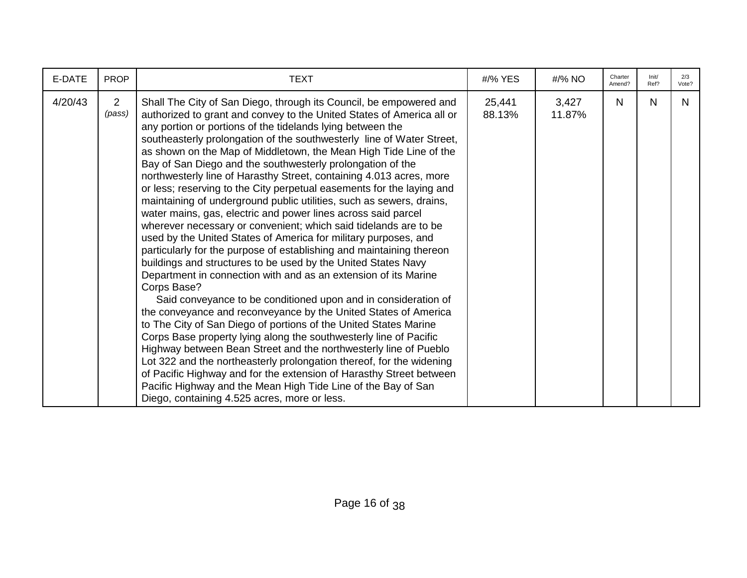| E-DATE  | <b>PROP</b>              | <b>TEXT</b>                                                                                                                                                                                                                                                                                                                                                                                                                                                                                                                                                                                                                                                                                                                                                                                                                                                                                                                                                                                                                                                                                                                                                                                                                                                                                                                                                                                                                                                                                                                                                                                                                                                                                        | #/% YES          | #/% NO          | Charter<br>Amend? | Init/<br>Ref? | 2/3<br>Vote? |
|---------|--------------------------|----------------------------------------------------------------------------------------------------------------------------------------------------------------------------------------------------------------------------------------------------------------------------------------------------------------------------------------------------------------------------------------------------------------------------------------------------------------------------------------------------------------------------------------------------------------------------------------------------------------------------------------------------------------------------------------------------------------------------------------------------------------------------------------------------------------------------------------------------------------------------------------------------------------------------------------------------------------------------------------------------------------------------------------------------------------------------------------------------------------------------------------------------------------------------------------------------------------------------------------------------------------------------------------------------------------------------------------------------------------------------------------------------------------------------------------------------------------------------------------------------------------------------------------------------------------------------------------------------------------------------------------------------------------------------------------------------|------------------|-----------------|-------------------|---------------|--------------|
| 4/20/43 | $\overline{2}$<br>(pass) | Shall The City of San Diego, through its Council, be empowered and<br>authorized to grant and convey to the United States of America all or<br>any portion or portions of the tidelands lying between the<br>southeasterly prolongation of the southwesterly line of Water Street,<br>as shown on the Map of Middletown, the Mean High Tide Line of the<br>Bay of San Diego and the southwesterly prolongation of the<br>northwesterly line of Harasthy Street, containing 4.013 acres, more<br>or less; reserving to the City perpetual easements for the laying and<br>maintaining of underground public utilities, such as sewers, drains,<br>water mains, gas, electric and power lines across said parcel<br>wherever necessary or convenient; which said tidelands are to be<br>used by the United States of America for military purposes, and<br>particularly for the purpose of establishing and maintaining thereon<br>buildings and structures to be used by the United States Navy<br>Department in connection with and as an extension of its Marine<br>Corps Base?<br>Said conveyance to be conditioned upon and in consideration of<br>the conveyance and reconveyance by the United States of America<br>to The City of San Diego of portions of the United States Marine<br>Corps Base property lying along the southwesterly line of Pacific<br>Highway between Bean Street and the northwesterly line of Pueblo<br>Lot 322 and the northeasterly prolongation thereof, for the widening<br>of Pacific Highway and for the extension of Harasthy Street between<br>Pacific Highway and the Mean High Tide Line of the Bay of San<br>Diego, containing 4.525 acres, more or less. | 25,441<br>88.13% | 3,427<br>11.87% | N.                | N             | N.           |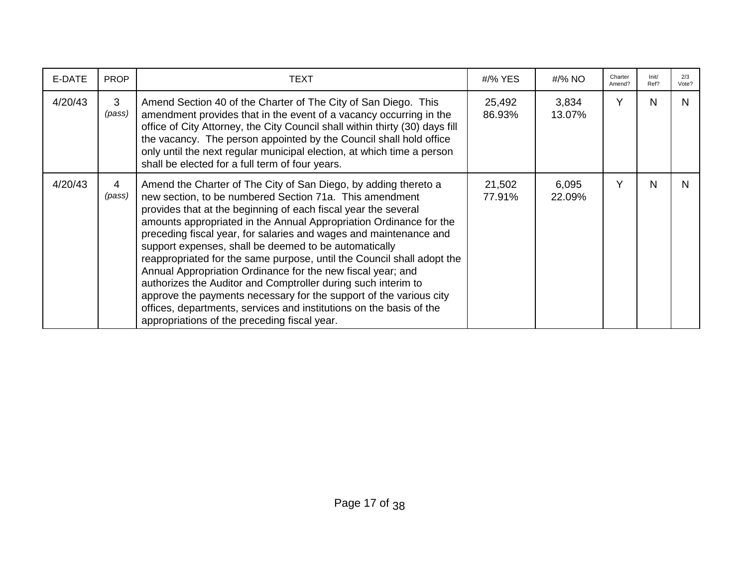| E-DATE  | <b>PROP</b> | TEXT                                                                                                                                                                                                                                                                                                                                                                                                                                                                                                                                                                                                                                                                                                                                                                                                    | #/% YES          | #/% NO          | Charter<br>Amend? | Init/<br>Ref? | 2/3<br>Vote? |
|---------|-------------|---------------------------------------------------------------------------------------------------------------------------------------------------------------------------------------------------------------------------------------------------------------------------------------------------------------------------------------------------------------------------------------------------------------------------------------------------------------------------------------------------------------------------------------------------------------------------------------------------------------------------------------------------------------------------------------------------------------------------------------------------------------------------------------------------------|------------------|-----------------|-------------------|---------------|--------------|
| 4/20/43 | 3<br>(pass) | Amend Section 40 of the Charter of The City of San Diego. This<br>amendment provides that in the event of a vacancy occurring in the<br>office of City Attorney, the City Council shall within thirty (30) days fill<br>the vacancy. The person appointed by the Council shall hold office<br>only until the next regular municipal election, at which time a person<br>shall be elected for a full term of four years.                                                                                                                                                                                                                                                                                                                                                                                 | 25,492<br>86.93% | 3,834<br>13.07% | Υ                 | N             | N            |
| 4/20/43 | 4<br>(pass) | Amend the Charter of The City of San Diego, by adding thereto a<br>new section, to be numbered Section 71a. This amendment<br>provides that at the beginning of each fiscal year the several<br>amounts appropriated in the Annual Appropriation Ordinance for the<br>preceding fiscal year, for salaries and wages and maintenance and<br>support expenses, shall be deemed to be automatically<br>reappropriated for the same purpose, until the Council shall adopt the<br>Annual Appropriation Ordinance for the new fiscal year; and<br>authorizes the Auditor and Comptroller during such interim to<br>approve the payments necessary for the support of the various city<br>offices, departments, services and institutions on the basis of the<br>appropriations of the preceding fiscal year. | 21,502<br>77.91% | 6,095<br>22.09% | Υ                 | N             | N            |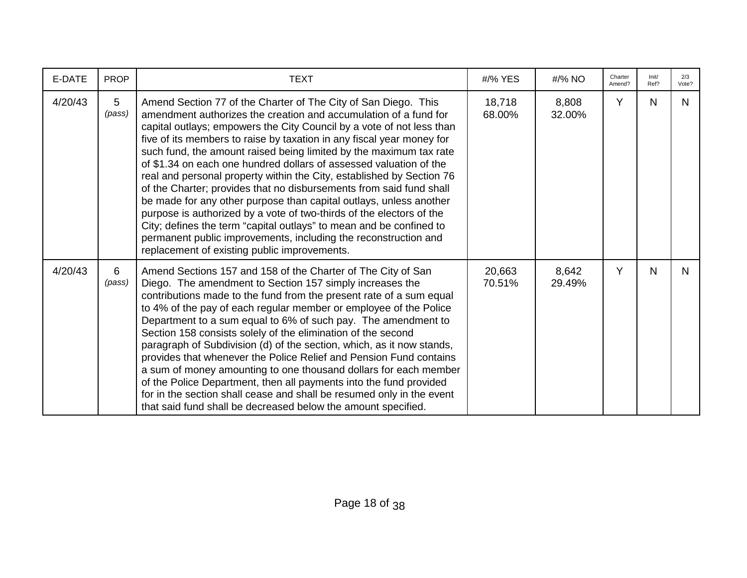| E-DATE  | <b>PROP</b> | <b>TEXT</b>                                                                                                                                                                                                                                                                                                                                                                                                                                                                                                                                                                                                                                                                                                                                                                                                                                                                                                              | #/% YES          | #/% NO          | Charter<br>Amend? | Init/<br>Ref? | 2/3<br>Vote? |
|---------|-------------|--------------------------------------------------------------------------------------------------------------------------------------------------------------------------------------------------------------------------------------------------------------------------------------------------------------------------------------------------------------------------------------------------------------------------------------------------------------------------------------------------------------------------------------------------------------------------------------------------------------------------------------------------------------------------------------------------------------------------------------------------------------------------------------------------------------------------------------------------------------------------------------------------------------------------|------------------|-----------------|-------------------|---------------|--------------|
| 4/20/43 | 5<br>(pass) | Amend Section 77 of the Charter of The City of San Diego. This<br>amendment authorizes the creation and accumulation of a fund for<br>capital outlays; empowers the City Council by a vote of not less than<br>five of its members to raise by taxation in any fiscal year money for<br>such fund, the amount raised being limited by the maximum tax rate<br>of \$1.34 on each one hundred dollars of assessed valuation of the<br>real and personal property within the City, established by Section 76<br>of the Charter; provides that no disbursements from said fund shall<br>be made for any other purpose than capital outlays, unless another<br>purpose is authorized by a vote of two-thirds of the electors of the<br>City; defines the term "capital outlays" to mean and be confined to<br>permanent public improvements, including the reconstruction and<br>replacement of existing public improvements. | 18,718<br>68.00% | 8,808<br>32.00% | Y                 | N             | N            |
| 4/20/43 | 6<br>(pass) | Amend Sections 157 and 158 of the Charter of The City of San<br>Diego. The amendment to Section 157 simply increases the<br>contributions made to the fund from the present rate of a sum equal<br>to 4% of the pay of each regular member or employee of the Police<br>Department to a sum equal to 6% of such pay. The amendment to<br>Section 158 consists solely of the elimination of the second<br>paragraph of Subdivision (d) of the section, which, as it now stands,<br>provides that whenever the Police Relief and Pension Fund contains<br>a sum of money amounting to one thousand dollars for each member<br>of the Police Department, then all payments into the fund provided<br>for in the section shall cease and shall be resumed only in the event<br>that said fund shall be decreased below the amount specified.                                                                                 | 20,663<br>70.51% | 8,642<br>29.49% | Y                 | N             | N.           |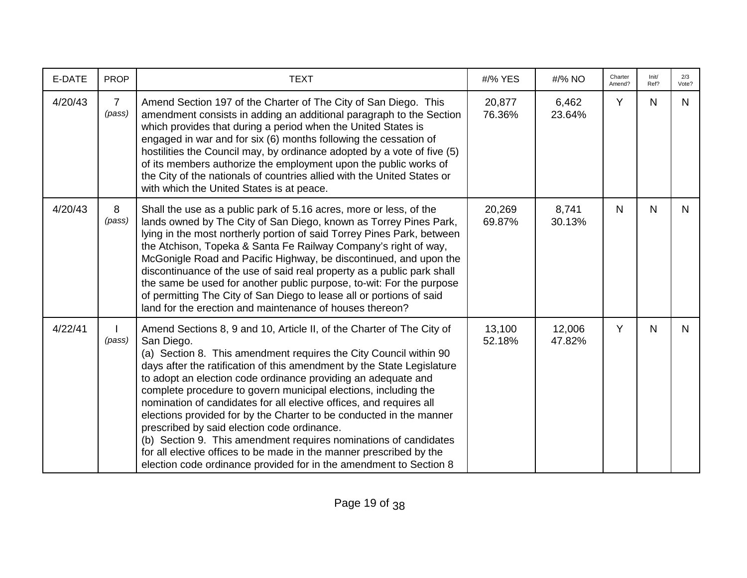| E-DATE  | <b>PROP</b>              | <b>TEXT</b>                                                                                                                                                                                                                                                                                                                                                                                                                                                                                                                                                                                                                                                                                                                                                                          | #/% YES          | #/% NO           | Charter<br>Amend? | Init/<br>Ref? | 2/3<br>Vote? |
|---------|--------------------------|--------------------------------------------------------------------------------------------------------------------------------------------------------------------------------------------------------------------------------------------------------------------------------------------------------------------------------------------------------------------------------------------------------------------------------------------------------------------------------------------------------------------------------------------------------------------------------------------------------------------------------------------------------------------------------------------------------------------------------------------------------------------------------------|------------------|------------------|-------------------|---------------|--------------|
| 4/20/43 | $\overline{7}$<br>(pass) | Amend Section 197 of the Charter of The City of San Diego. This<br>amendment consists in adding an additional paragraph to the Section<br>which provides that during a period when the United States is<br>engaged in war and for six (6) months following the cessation of<br>hostilities the Council may, by ordinance adopted by a vote of five (5)<br>of its members authorize the employment upon the public works of<br>the City of the nationals of countries allied with the United States or<br>with which the United States is at peace.                                                                                                                                                                                                                                   | 20,877<br>76.36% | 6,462<br>23.64%  | Y                 | N             | N            |
| 4/20/43 | 8<br>(pass)              | Shall the use as a public park of 5.16 acres, more or less, of the<br>lands owned by The City of San Diego, known as Torrey Pines Park,<br>lying in the most northerly portion of said Torrey Pines Park, between<br>the Atchison, Topeka & Santa Fe Railway Company's right of way,<br>McGonigle Road and Pacific Highway, be discontinued, and upon the<br>discontinuance of the use of said real property as a public park shall<br>the same be used for another public purpose, to-wit: For the purpose<br>of permitting The City of San Diego to lease all or portions of said<br>land for the erection and maintenance of houses thereon?                                                                                                                                      | 20,269<br>69.87% | 8,741<br>30.13%  | N.                | N             | N.           |
| 4/22/41 | (pass)                   | Amend Sections 8, 9 and 10, Article II, of the Charter of The City of<br>San Diego.<br>(a) Section 8. This amendment requires the City Council within 90<br>days after the ratification of this amendment by the State Legislature<br>to adopt an election code ordinance providing an adequate and<br>complete procedure to govern municipal elections, including the<br>nomination of candidates for all elective offices, and requires all<br>elections provided for by the Charter to be conducted in the manner<br>prescribed by said election code ordinance.<br>(b) Section 9. This amendment requires nominations of candidates<br>for all elective offices to be made in the manner prescribed by the<br>election code ordinance provided for in the amendment to Section 8 | 13,100<br>52.18% | 12,006<br>47.82% | Y                 | $\mathsf{N}$  | N            |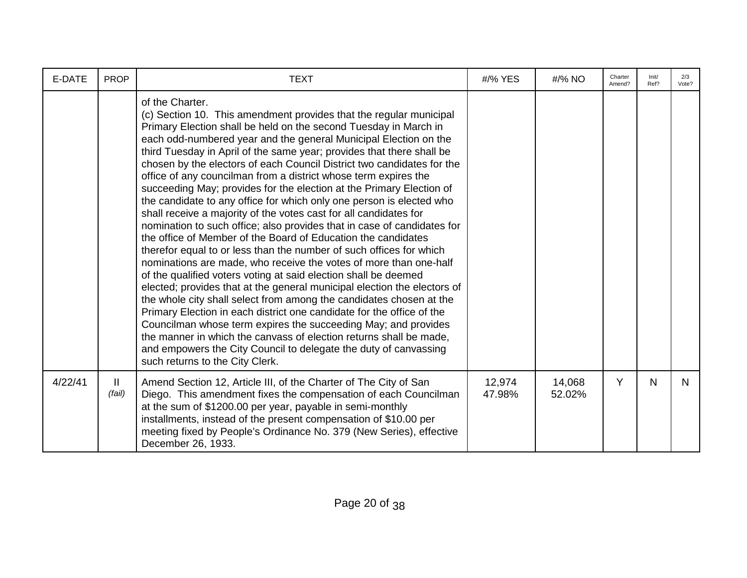| E-DATE  | <b>PROP</b> | <b>TEXT</b>                                                                                                                                                                                                                                                                                                                                                                                                                                                                                                                                                                                                                                                                                                                                                                                                                                                                                                                                                                                                                                                                                                                                                                                                                                                                                                                                                                                                                                                                                                    | #/% YES          | #/% NO           | Charter<br>Amend? | Init/<br>Ref? | 2/3<br>Vote? |
|---------|-------------|----------------------------------------------------------------------------------------------------------------------------------------------------------------------------------------------------------------------------------------------------------------------------------------------------------------------------------------------------------------------------------------------------------------------------------------------------------------------------------------------------------------------------------------------------------------------------------------------------------------------------------------------------------------------------------------------------------------------------------------------------------------------------------------------------------------------------------------------------------------------------------------------------------------------------------------------------------------------------------------------------------------------------------------------------------------------------------------------------------------------------------------------------------------------------------------------------------------------------------------------------------------------------------------------------------------------------------------------------------------------------------------------------------------------------------------------------------------------------------------------------------------|------------------|------------------|-------------------|---------------|--------------|
|         |             | of the Charter.<br>(c) Section 10. This amendment provides that the regular municipal<br>Primary Election shall be held on the second Tuesday in March in<br>each odd-numbered year and the general Municipal Election on the<br>third Tuesday in April of the same year; provides that there shall be<br>chosen by the electors of each Council District two candidates for the<br>office of any councilman from a district whose term expires the<br>succeeding May; provides for the election at the Primary Election of<br>the candidate to any office for which only one person is elected who<br>shall receive a majority of the votes cast for all candidates for<br>nomination to such office; also provides that in case of candidates for<br>the office of Member of the Board of Education the candidates<br>therefor equal to or less than the number of such offices for which<br>nominations are made, who receive the votes of more than one-half<br>of the qualified voters voting at said election shall be deemed<br>elected; provides that at the general municipal election the electors of<br>the whole city shall select from among the candidates chosen at the<br>Primary Election in each district one candidate for the office of the<br>Councilman whose term expires the succeeding May; and provides<br>the manner in which the canvass of election returns shall be made,<br>and empowers the City Council to delegate the duty of canvassing<br>such returns to the City Clerk. |                  |                  |                   |               |              |
| 4/22/41 | Ш<br>(fail) | Amend Section 12, Article III, of the Charter of The City of San<br>Diego. This amendment fixes the compensation of each Councilman<br>at the sum of \$1200.00 per year, payable in semi-monthly<br>installments, instead of the present compensation of \$10.00 per<br>meeting fixed by People's Ordinance No. 379 (New Series), effective<br>December 26, 1933.                                                                                                                                                                                                                                                                                                                                                                                                                                                                                                                                                                                                                                                                                                                                                                                                                                                                                                                                                                                                                                                                                                                                              | 12,974<br>47.98% | 14,068<br>52.02% | Y                 | N             | N.           |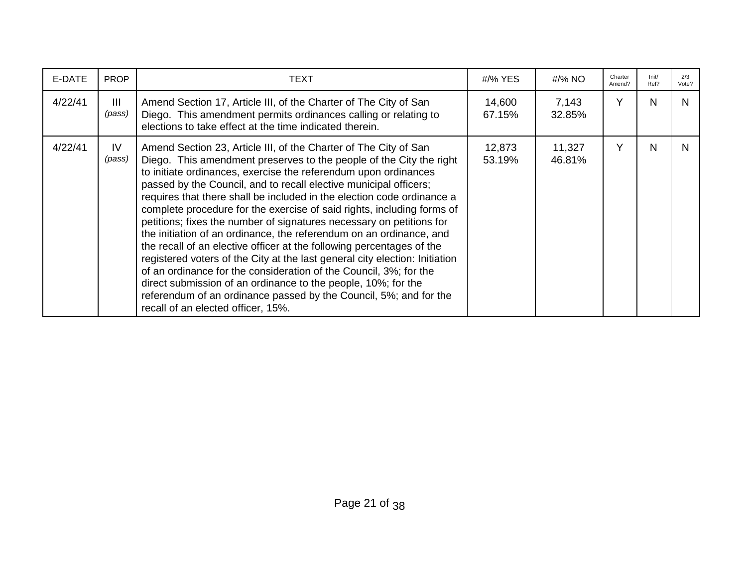| E-DATE  | <b>PROP</b>   | TEXT                                                                                                                                                                                                                                                                                                                                                                                                                                                                                                                                                                                                                                                                                                                                                                                                                                                                                                                                                                                        | #/% YES          | #/% NO           | Charter<br>Amend? | Init/<br>Ref? | 2/3<br>Vote? |
|---------|---------------|---------------------------------------------------------------------------------------------------------------------------------------------------------------------------------------------------------------------------------------------------------------------------------------------------------------------------------------------------------------------------------------------------------------------------------------------------------------------------------------------------------------------------------------------------------------------------------------------------------------------------------------------------------------------------------------------------------------------------------------------------------------------------------------------------------------------------------------------------------------------------------------------------------------------------------------------------------------------------------------------|------------------|------------------|-------------------|---------------|--------------|
| 4/22/41 | III<br>(pass) | Amend Section 17, Article III, of the Charter of The City of San<br>Diego. This amendment permits ordinances calling or relating to<br>elections to take effect at the time indicated therein.                                                                                                                                                                                                                                                                                                                                                                                                                                                                                                                                                                                                                                                                                                                                                                                              | 14,600<br>67.15% | 7,143<br>32.85%  | Y                 | N             | N            |
| 4/22/41 | IV<br>(pass)  | Amend Section 23, Article III, of the Charter of The City of San<br>Diego. This amendment preserves to the people of the City the right<br>to initiate ordinances, exercise the referendum upon ordinances<br>passed by the Council, and to recall elective municipal officers;<br>requires that there shall be included in the election code ordinance a<br>complete procedure for the exercise of said rights, including forms of<br>petitions; fixes the number of signatures necessary on petitions for<br>the initiation of an ordinance, the referendum on an ordinance, and<br>the recall of an elective officer at the following percentages of the<br>registered voters of the City at the last general city election: Initiation<br>of an ordinance for the consideration of the Council, 3%; for the<br>direct submission of an ordinance to the people, 10%; for the<br>referendum of an ordinance passed by the Council, 5%; and for the<br>recall of an elected officer, 15%. | 12,873<br>53.19% | 11,327<br>46.81% | Υ                 | N             | N            |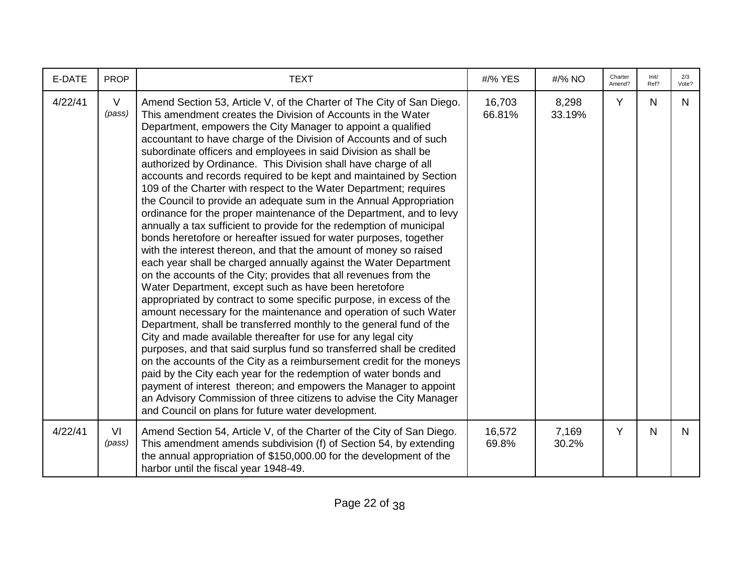| E-DATE  | <b>PROP</b>      | <b>TEXT</b>                                                                                                                                                                                                                                                                                                                                                                                                                                                                                                                                                                                                                                                                                                                                                                                                                                                                                                                                                                                                                                                                                                                                                                                                                                                                                                                                                                                                                                                                                                                                                                                                                                                                                                                                                                                                                          | #/% YES          | #/% NO          | Charter<br>Amend? | Init/<br>Ref? | 2/3<br>Vote? |
|---------|------------------|--------------------------------------------------------------------------------------------------------------------------------------------------------------------------------------------------------------------------------------------------------------------------------------------------------------------------------------------------------------------------------------------------------------------------------------------------------------------------------------------------------------------------------------------------------------------------------------------------------------------------------------------------------------------------------------------------------------------------------------------------------------------------------------------------------------------------------------------------------------------------------------------------------------------------------------------------------------------------------------------------------------------------------------------------------------------------------------------------------------------------------------------------------------------------------------------------------------------------------------------------------------------------------------------------------------------------------------------------------------------------------------------------------------------------------------------------------------------------------------------------------------------------------------------------------------------------------------------------------------------------------------------------------------------------------------------------------------------------------------------------------------------------------------------------------------------------------------|------------------|-----------------|-------------------|---------------|--------------|
| 4/22/41 | $\vee$<br>(pass) | Amend Section 53, Article V, of the Charter of The City of San Diego.<br>This amendment creates the Division of Accounts in the Water<br>Department, empowers the City Manager to appoint a qualified<br>accountant to have charge of the Division of Accounts and of such<br>subordinate officers and employees in said Division as shall be<br>authorized by Ordinance. This Division shall have charge of all<br>accounts and records required to be kept and maintained by Section<br>109 of the Charter with respect to the Water Department; requires<br>the Council to provide an adequate sum in the Annual Appropriation<br>ordinance for the proper maintenance of the Department, and to levy<br>annually a tax sufficient to provide for the redemption of municipal<br>bonds heretofore or hereafter issued for water purposes, together<br>with the interest thereon, and that the amount of money so raised<br>each year shall be charged annually against the Water Department<br>on the accounts of the City; provides that all revenues from the<br>Water Department, except such as have been heretofore<br>appropriated by contract to some specific purpose, in excess of the<br>amount necessary for the maintenance and operation of such Water<br>Department, shall be transferred monthly to the general fund of the<br>City and made available thereafter for use for any legal city<br>purposes, and that said surplus fund so transferred shall be credited<br>on the accounts of the City as a reimbursement credit for the moneys<br>paid by the City each year for the redemption of water bonds and<br>payment of interest thereon; and empowers the Manager to appoint<br>an Advisory Commission of three citizens to advise the City Manager<br>and Council on plans for future water development. | 16,703<br>66.81% | 8,298<br>33.19% | Y                 | N             | N            |
| 4/22/41 | VI<br>(pass)     | Amend Section 54, Article V, of the Charter of the City of San Diego.<br>This amendment amends subdivision (f) of Section 54, by extending<br>the annual appropriation of \$150,000.00 for the development of the<br>harbor until the fiscal year 1948-49.                                                                                                                                                                                                                                                                                                                                                                                                                                                                                                                                                                                                                                                                                                                                                                                                                                                                                                                                                                                                                                                                                                                                                                                                                                                                                                                                                                                                                                                                                                                                                                           | 16,572<br>69.8%  | 7,169<br>30.2%  | Y                 | N             | N.           |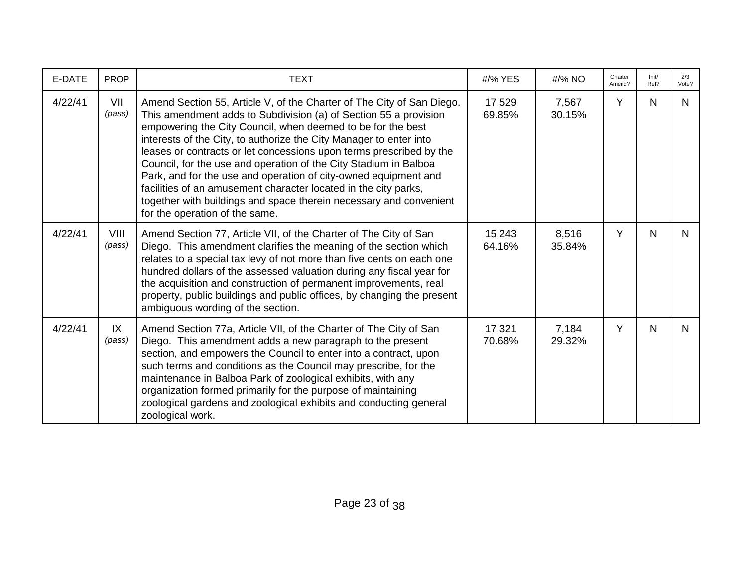| E-DATE  | <b>PROP</b>    | <b>TEXT</b>                                                                                                                                                                                                                                                                                                                                                                                                                                                                                                                                                                                                                                                             | #/% YES          | #/% NO          | Charter<br>Amend? | Init/<br>Ref? | 2/3<br>Vote? |
|---------|----------------|-------------------------------------------------------------------------------------------------------------------------------------------------------------------------------------------------------------------------------------------------------------------------------------------------------------------------------------------------------------------------------------------------------------------------------------------------------------------------------------------------------------------------------------------------------------------------------------------------------------------------------------------------------------------------|------------------|-----------------|-------------------|---------------|--------------|
| 4/22/41 | VII<br>(pass)  | Amend Section 55, Article V, of the Charter of The City of San Diego.<br>This amendment adds to Subdivision (a) of Section 55 a provision<br>empowering the City Council, when deemed to be for the best<br>interests of the City, to authorize the City Manager to enter into<br>leases or contracts or let concessions upon terms prescribed by the<br>Council, for the use and operation of the City Stadium in Balboa<br>Park, and for the use and operation of city-owned equipment and<br>facilities of an amusement character located in the city parks,<br>together with buildings and space therein necessary and convenient<br>for the operation of the same. | 17,529<br>69.85% | 7,567<br>30.15% | Y                 | N             | N            |
| 4/22/41 | VIII<br>(pass) | Amend Section 77, Article VII, of the Charter of The City of San<br>Diego. This amendment clarifies the meaning of the section which<br>relates to a special tax levy of not more than five cents on each one<br>hundred dollars of the assessed valuation during any fiscal year for<br>the acquisition and construction of permanent improvements, real<br>property, public buildings and public offices, by changing the present<br>ambiguous wording of the section.                                                                                                                                                                                                | 15,243<br>64.16% | 8,516<br>35.84% | Y                 | N             | N            |
| 4/22/41 | IX<br>(pass)   | Amend Section 77a, Article VII, of the Charter of The City of San<br>Diego. This amendment adds a new paragraph to the present<br>section, and empowers the Council to enter into a contract, upon<br>such terms and conditions as the Council may prescribe, for the<br>maintenance in Balboa Park of zoological exhibits, with any<br>organization formed primarily for the purpose of maintaining<br>zoological gardens and zoological exhibits and conducting general<br>zoological work.                                                                                                                                                                           | 17,321<br>70.68% | 7,184<br>29.32% | Y                 | N             | N            |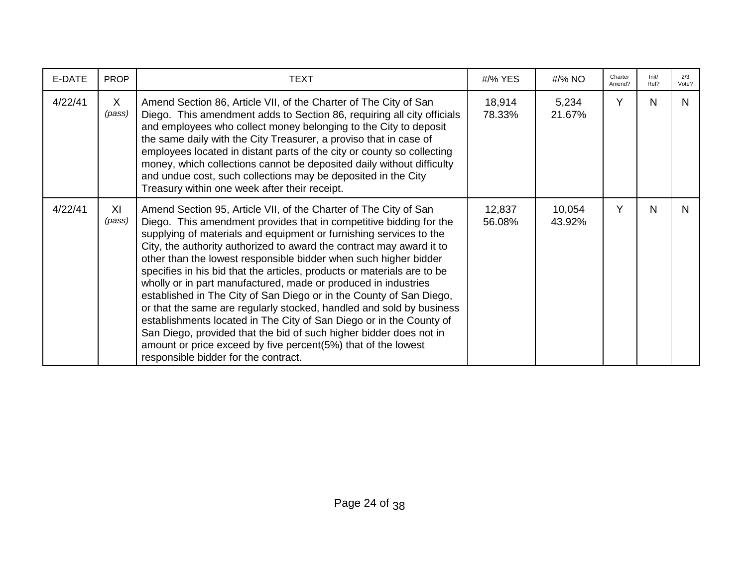| E-DATE  | <b>PROP</b>            | <b>TEXT</b>                                                                                                                                                                                                                                                                                                                                                                                                                                                                                                                                                                                                                                                                                                                                                                                                                                                                                                | #/% YES          | #/% NO           | Charter<br>Amend? | Init/<br>Ref? | 2/3<br>Vote? |
|---------|------------------------|------------------------------------------------------------------------------------------------------------------------------------------------------------------------------------------------------------------------------------------------------------------------------------------------------------------------------------------------------------------------------------------------------------------------------------------------------------------------------------------------------------------------------------------------------------------------------------------------------------------------------------------------------------------------------------------------------------------------------------------------------------------------------------------------------------------------------------------------------------------------------------------------------------|------------------|------------------|-------------------|---------------|--------------|
| 4/22/41 | $\mathsf{X}$<br>(pass) | Amend Section 86, Article VII, of the Charter of The City of San<br>Diego. This amendment adds to Section 86, requiring all city officials<br>and employees who collect money belonging to the City to deposit<br>the same daily with the City Treasurer, a proviso that in case of<br>employees located in distant parts of the city or county so collecting<br>money, which collections cannot be deposited daily without difficulty<br>and undue cost, such collections may be deposited in the City<br>Treasury within one week after their receipt.                                                                                                                                                                                                                                                                                                                                                   | 18,914<br>78.33% | 5,234<br>21.67%  | Y                 | N             | N            |
| 4/22/41 | XI<br>(pass)           | Amend Section 95, Article VII, of the Charter of The City of San<br>Diego. This amendment provides that in competitive bidding for the<br>supplying of materials and equipment or furnishing services to the<br>City, the authority authorized to award the contract may award it to<br>other than the lowest responsible bidder when such higher bidder<br>specifies in his bid that the articles, products or materials are to be<br>wholly or in part manufactured, made or produced in industries<br>established in The City of San Diego or in the County of San Diego,<br>or that the same are regularly stocked, handled and sold by business<br>establishments located in The City of San Diego or in the County of<br>San Diego, provided that the bid of such higher bidder does not in<br>amount or price exceed by five percent(5%) that of the lowest<br>responsible bidder for the contract. | 12,837<br>56.08% | 10,054<br>43.92% | Y                 | N             | N.           |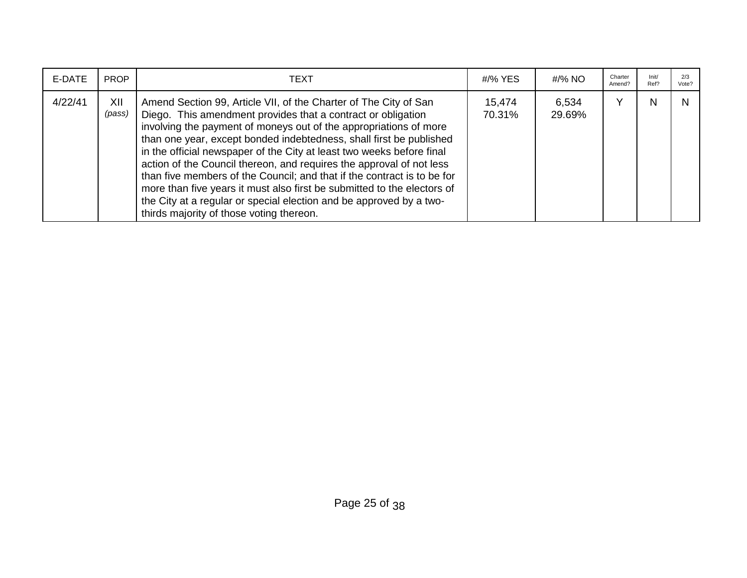| E-DATE  | <b>PROP</b>   | TEXT                                                                                                                                                                                                                                                                                                                                                                                                                                                                                                                                                                                                                                                                                                   | #/% YES          | #/% NO          | Charter<br>Amend? | Init/<br>Ref? | 2/3<br>Vote? |
|---------|---------------|--------------------------------------------------------------------------------------------------------------------------------------------------------------------------------------------------------------------------------------------------------------------------------------------------------------------------------------------------------------------------------------------------------------------------------------------------------------------------------------------------------------------------------------------------------------------------------------------------------------------------------------------------------------------------------------------------------|------------------|-----------------|-------------------|---------------|--------------|
| 4/22/41 | XII<br>(pass) | Amend Section 99, Article VII, of the Charter of The City of San<br>Diego. This amendment provides that a contract or obligation<br>involving the payment of moneys out of the appropriations of more<br>than one year, except bonded indebtedness, shall first be published<br>in the official newspaper of the City at least two weeks before final<br>action of the Council thereon, and requires the approval of not less<br>than five members of the Council; and that if the contract is to be for<br>more than five years it must also first be submitted to the electors of<br>the City at a regular or special election and be approved by a two-<br>thirds majority of those voting thereon. | 15,474<br>70.31% | 6,534<br>29.69% |                   | N             |              |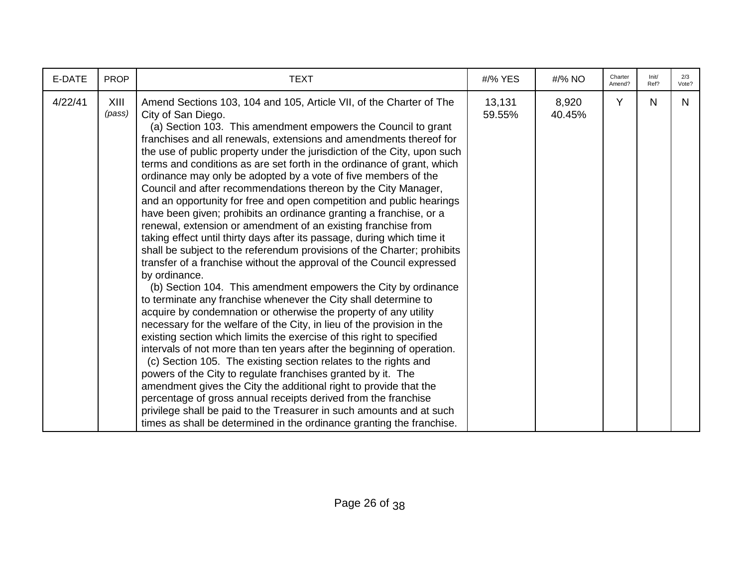| E-DATE  | <b>PROP</b>    | <b>TEXT</b>                                                                                                                                                                                                                                                                                                                                                                                                                                                                                                                                                                                                                                                                                                                                                                                                                                                                                                                                                                                                                                                                                                                                                                                                                                                                                                                                                                                                                                                                                                                                                                                                                                                                                                                                                                                                                                                | #/% YES          | #/% NO          | Charter<br>Amend? | Init/<br>Ref? | 2/3<br>Vote? |
|---------|----------------|------------------------------------------------------------------------------------------------------------------------------------------------------------------------------------------------------------------------------------------------------------------------------------------------------------------------------------------------------------------------------------------------------------------------------------------------------------------------------------------------------------------------------------------------------------------------------------------------------------------------------------------------------------------------------------------------------------------------------------------------------------------------------------------------------------------------------------------------------------------------------------------------------------------------------------------------------------------------------------------------------------------------------------------------------------------------------------------------------------------------------------------------------------------------------------------------------------------------------------------------------------------------------------------------------------------------------------------------------------------------------------------------------------------------------------------------------------------------------------------------------------------------------------------------------------------------------------------------------------------------------------------------------------------------------------------------------------------------------------------------------------------------------------------------------------------------------------------------------------|------------------|-----------------|-------------------|---------------|--------------|
| 4/22/41 | XIII<br>(pass) | Amend Sections 103, 104 and 105, Article VII, of the Charter of The<br>City of San Diego.<br>(a) Section 103. This amendment empowers the Council to grant<br>franchises and all renewals, extensions and amendments thereof for<br>the use of public property under the jurisdiction of the City, upon such<br>terms and conditions as are set forth in the ordinance of grant, which<br>ordinance may only be adopted by a vote of five members of the<br>Council and after recommendations thereon by the City Manager,<br>and an opportunity for free and open competition and public hearings<br>have been given; prohibits an ordinance granting a franchise, or a<br>renewal, extension or amendment of an existing franchise from<br>taking effect until thirty days after its passage, during which time it<br>shall be subject to the referendum provisions of the Charter; prohibits<br>transfer of a franchise without the approval of the Council expressed<br>by ordinance.<br>(b) Section 104. This amendment empowers the City by ordinance<br>to terminate any franchise whenever the City shall determine to<br>acquire by condemnation or otherwise the property of any utility<br>necessary for the welfare of the City, in lieu of the provision in the<br>existing section which limits the exercise of this right to specified<br>intervals of not more than ten years after the beginning of operation.<br>(c) Section 105. The existing section relates to the rights and<br>powers of the City to regulate franchises granted by it. The<br>amendment gives the City the additional right to provide that the<br>percentage of gross annual receipts derived from the franchise<br>privilege shall be paid to the Treasurer in such amounts and at such<br>times as shall be determined in the ordinance granting the franchise. | 13,131<br>59.55% | 8,920<br>40.45% | Y                 | N             | N.           |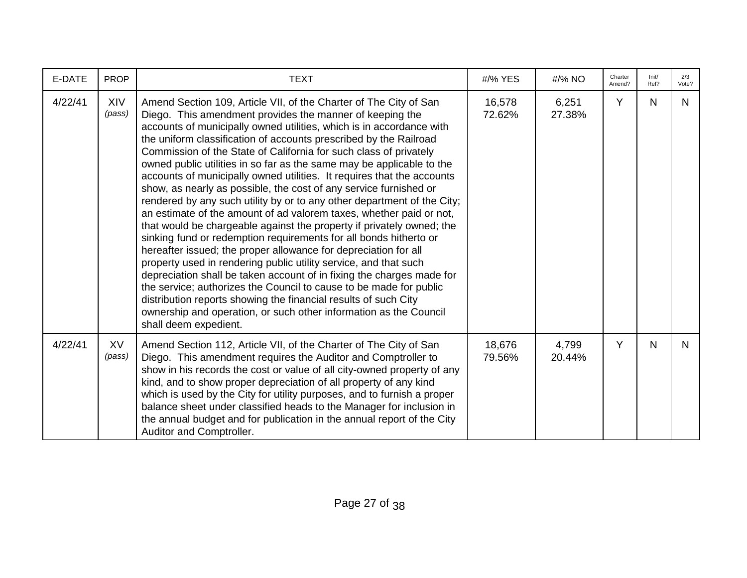| E-DATE  | <b>PROP</b>         | <b>TEXT</b>                                                                                                                                                                                                                                                                                                                                                                                                                                                                                                                                                                                                                                                                                                                                                                                                                                                                                                                                                                                                                                                                                                                                                                                                                                                                                                                    | #/% YES          | #/% NO          | Charter<br>Amend? | Init/<br>Ref? | 2/3<br>Vote? |
|---------|---------------------|--------------------------------------------------------------------------------------------------------------------------------------------------------------------------------------------------------------------------------------------------------------------------------------------------------------------------------------------------------------------------------------------------------------------------------------------------------------------------------------------------------------------------------------------------------------------------------------------------------------------------------------------------------------------------------------------------------------------------------------------------------------------------------------------------------------------------------------------------------------------------------------------------------------------------------------------------------------------------------------------------------------------------------------------------------------------------------------------------------------------------------------------------------------------------------------------------------------------------------------------------------------------------------------------------------------------------------|------------------|-----------------|-------------------|---------------|--------------|
| 4/22/41 | XIV<br>(pass)       | Amend Section 109, Article VII, of the Charter of The City of San<br>Diego. This amendment provides the manner of keeping the<br>accounts of municipally owned utilities, which is in accordance with<br>the uniform classification of accounts prescribed by the Railroad<br>Commission of the State of California for such class of privately<br>owned public utilities in so far as the same may be applicable to the<br>accounts of municipally owned utilities. It requires that the accounts<br>show, as nearly as possible, the cost of any service furnished or<br>rendered by any such utility by or to any other department of the City;<br>an estimate of the amount of ad valorem taxes, whether paid or not,<br>that would be chargeable against the property if privately owned; the<br>sinking fund or redemption requirements for all bonds hitherto or<br>hereafter issued; the proper allowance for depreciation for all<br>property used in rendering public utility service, and that such<br>depreciation shall be taken account of in fixing the charges made for<br>the service; authorizes the Council to cause to be made for public<br>distribution reports showing the financial results of such City<br>ownership and operation, or such other information as the Council<br>shall deem expedient. | 16,578<br>72.62% | 6,251<br>27.38% | Y                 | N.            | N            |
| 4/22/41 | <b>XV</b><br>(pass) | Amend Section 112, Article VII, of the Charter of The City of San<br>Diego. This amendment requires the Auditor and Comptroller to<br>show in his records the cost or value of all city-owned property of any<br>kind, and to show proper depreciation of all property of any kind<br>which is used by the City for utility purposes, and to furnish a proper<br>balance sheet under classified heads to the Manager for inclusion in<br>the annual budget and for publication in the annual report of the City<br>Auditor and Comptroller.                                                                                                                                                                                                                                                                                                                                                                                                                                                                                                                                                                                                                                                                                                                                                                                    | 18,676<br>79.56% | 4,799<br>20.44% | Y                 | N             | N.           |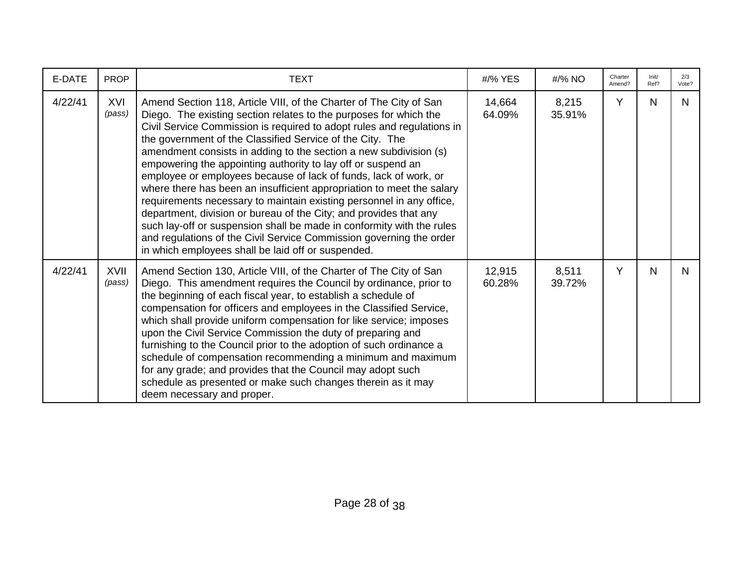| E-DATE  | <b>PROP</b>           | <b>TEXT</b>                                                                                                                                                                                                                                                                                                                                                                                                                                                                                                                                                                                                                                                                                                                                                                                                                                                                                                         | #/% YES          | #/% NO          | Charter<br>Amend? | Init/<br>Ref? | 2/3<br>Vote? |
|---------|-----------------------|---------------------------------------------------------------------------------------------------------------------------------------------------------------------------------------------------------------------------------------------------------------------------------------------------------------------------------------------------------------------------------------------------------------------------------------------------------------------------------------------------------------------------------------------------------------------------------------------------------------------------------------------------------------------------------------------------------------------------------------------------------------------------------------------------------------------------------------------------------------------------------------------------------------------|------------------|-----------------|-------------------|---------------|--------------|
| 4/22/41 | XVI<br>(pass)         | Amend Section 118, Article VIII, of the Charter of The City of San<br>Diego. The existing section relates to the purposes for which the<br>Civil Service Commission is required to adopt rules and regulations in<br>the government of the Classified Service of the City. The<br>amendment consists in adding to the section a new subdivision (s)<br>empowering the appointing authority to lay off or suspend an<br>employee or employees because of lack of funds, lack of work, or<br>where there has been an insufficient appropriation to meet the salary<br>requirements necessary to maintain existing personnel in any office,<br>department, division or bureau of the City; and provides that any<br>such lay-off or suspension shall be made in conformity with the rules<br>and regulations of the Civil Service Commission governing the order<br>in which employees shall be laid off or suspended. | 14,664<br>64.09% | 8,215<br>35.91% | Y                 | N             | N.           |
| 4/22/41 | <b>XVII</b><br>(pass) | Amend Section 130, Article VIII, of the Charter of The City of San<br>Diego. This amendment requires the Council by ordinance, prior to<br>the beginning of each fiscal year, to establish a schedule of<br>compensation for officers and employees in the Classified Service,<br>which shall provide uniform compensation for like service; imposes<br>upon the Civil Service Commission the duty of preparing and<br>furnishing to the Council prior to the adoption of such ordinance a<br>schedule of compensation recommending a minimum and maximum<br>for any grade; and provides that the Council may adopt such<br>schedule as presented or make such changes therein as it may<br>deem necessary and proper.                                                                                                                                                                                              | 12,915<br>60.28% | 8,511<br>39.72% | Y                 | N             | N.           |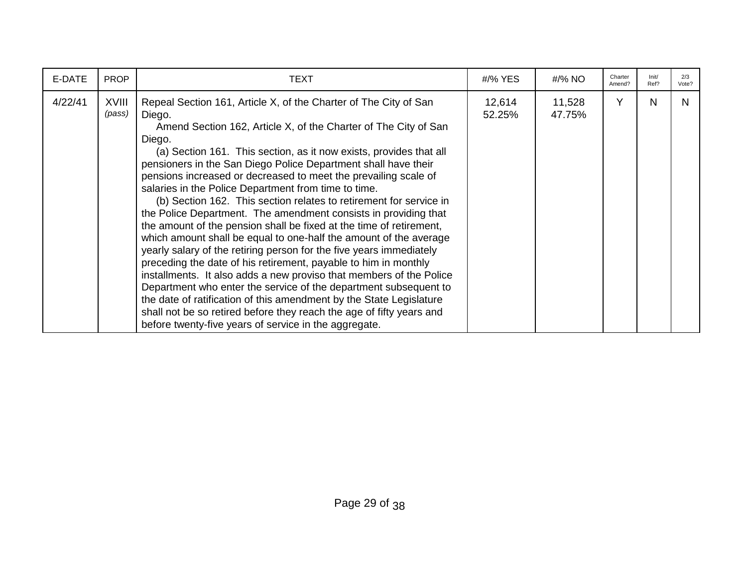| E-DATE  | <b>PROP</b>            | TEXT                                                                                                                                                                                                                                                                                                                                                                                                                                                                                                                                                                                                                                                                                                                                                                                                                                                                                                                                                                                                                                                                                                                                                                                                         | #/% YES          | #/% NO           | Charter<br>Amend? | Init/<br>Ref? | 2/3<br>Vote? |
|---------|------------------------|--------------------------------------------------------------------------------------------------------------------------------------------------------------------------------------------------------------------------------------------------------------------------------------------------------------------------------------------------------------------------------------------------------------------------------------------------------------------------------------------------------------------------------------------------------------------------------------------------------------------------------------------------------------------------------------------------------------------------------------------------------------------------------------------------------------------------------------------------------------------------------------------------------------------------------------------------------------------------------------------------------------------------------------------------------------------------------------------------------------------------------------------------------------------------------------------------------------|------------------|------------------|-------------------|---------------|--------------|
| 4/22/41 | <b>XVIII</b><br>(pass) | Repeal Section 161, Article X, of the Charter of The City of San<br>Diego.<br>Amend Section 162, Article X, of the Charter of The City of San<br>Diego.<br>(a) Section 161. This section, as it now exists, provides that all<br>pensioners in the San Diego Police Department shall have their<br>pensions increased or decreased to meet the prevailing scale of<br>salaries in the Police Department from time to time.<br>(b) Section 162. This section relates to retirement for service in<br>the Police Department. The amendment consists in providing that<br>the amount of the pension shall be fixed at the time of retirement,<br>which amount shall be equal to one-half the amount of the average<br>yearly salary of the retiring person for the five years immediately<br>preceding the date of his retirement, payable to him in monthly<br>installments. It also adds a new proviso that members of the Police<br>Department who enter the service of the department subsequent to<br>the date of ratification of this amendment by the State Legislature<br>shall not be so retired before they reach the age of fifty years and<br>before twenty-five years of service in the aggregate. | 12,614<br>52.25% | 11,528<br>47.75% | Y                 | N             | N.           |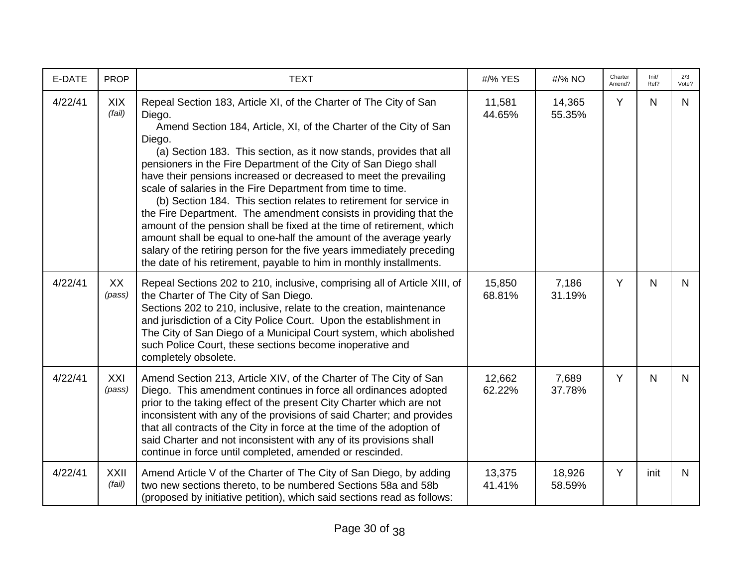| E-DATE  | <b>PROP</b>           | <b>TEXT</b>                                                                                                                                                                                                                                                                                                                                                                                                                                                                                                                                                                                                                                                                                                                                                                                                                                                                         | #/% YES          | #/% NO           | Charter<br>Amend? | Init/<br>Ref? | 2/3<br>Vote? |
|---------|-----------------------|-------------------------------------------------------------------------------------------------------------------------------------------------------------------------------------------------------------------------------------------------------------------------------------------------------------------------------------------------------------------------------------------------------------------------------------------------------------------------------------------------------------------------------------------------------------------------------------------------------------------------------------------------------------------------------------------------------------------------------------------------------------------------------------------------------------------------------------------------------------------------------------|------------------|------------------|-------------------|---------------|--------------|
| 4/22/41 | <b>XIX</b><br>(fail)  | Repeal Section 183, Article XI, of the Charter of The City of San<br>Diego.<br>Amend Section 184, Article, XI, of the Charter of the City of San<br>Diego.<br>(a) Section 183. This section, as it now stands, provides that all<br>pensioners in the Fire Department of the City of San Diego shall<br>have their pensions increased or decreased to meet the prevailing<br>scale of salaries in the Fire Department from time to time.<br>(b) Section 184. This section relates to retirement for service in<br>the Fire Department. The amendment consists in providing that the<br>amount of the pension shall be fixed at the time of retirement, which<br>amount shall be equal to one-half the amount of the average yearly<br>salary of the retiring person for the five years immediately preceding<br>the date of his retirement, payable to him in monthly installments. | 11,581<br>44.65% | 14,365<br>55.35% | Y                 | $\mathsf{N}$  | N            |
| 4/22/41 | XX<br>(pass)          | Repeal Sections 202 to 210, inclusive, comprising all of Article XIII, of<br>the Charter of The City of San Diego.<br>Sections 202 to 210, inclusive, relate to the creation, maintenance<br>and jurisdiction of a City Police Court. Upon the establishment in<br>The City of San Diego of a Municipal Court system, which abolished<br>such Police Court, these sections become inoperative and<br>completely obsolete.                                                                                                                                                                                                                                                                                                                                                                                                                                                           | 15,850<br>68.81% | 7,186<br>31.19%  | Y                 | $\mathsf{N}$  | $\mathsf{N}$ |
| 4/22/41 | XXI<br>(pass)         | Amend Section 213, Article XIV, of the Charter of The City of San<br>Diego. This amendment continues in force all ordinances adopted<br>prior to the taking effect of the present City Charter which are not<br>inconsistent with any of the provisions of said Charter; and provides<br>that all contracts of the City in force at the time of the adoption of<br>said Charter and not inconsistent with any of its provisions shall<br>continue in force until completed, amended or rescinded.                                                                                                                                                                                                                                                                                                                                                                                   | 12,662<br>62.22% | 7,689<br>37.78%  | Y                 | $\mathsf{N}$  | $\mathsf{N}$ |
| 4/22/41 | <b>XXII</b><br>(fail) | Amend Article V of the Charter of The City of San Diego, by adding<br>two new sections thereto, to be numbered Sections 58a and 58b<br>(proposed by initiative petition), which said sections read as follows:                                                                                                                                                                                                                                                                                                                                                                                                                                                                                                                                                                                                                                                                      | 13,375<br>41.41% | 18,926<br>58.59% | Y                 | init          | N            |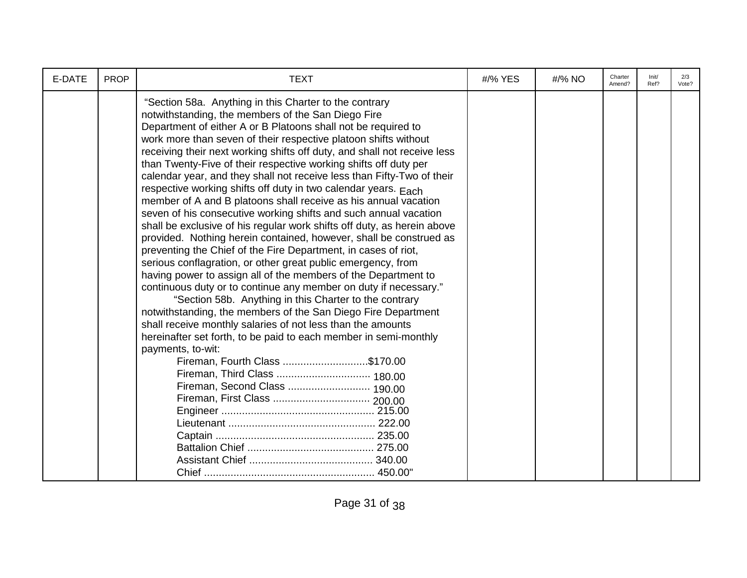| E-DATE | <b>PROP</b> | <b>TEXT</b>                                                                                                                                                                                                                                                                                                                                                                                                                                                                                                                                                                                                                                                                                                                                                                                                                                                                                                                                                                                                                                                                                                                                                                                                                                                                                                                                                                                                                                                        | #/% YES | #/% NO | Charter<br>Amend? | Init/<br>Ref? | 2/3<br>Vote? |
|--------|-------------|--------------------------------------------------------------------------------------------------------------------------------------------------------------------------------------------------------------------------------------------------------------------------------------------------------------------------------------------------------------------------------------------------------------------------------------------------------------------------------------------------------------------------------------------------------------------------------------------------------------------------------------------------------------------------------------------------------------------------------------------------------------------------------------------------------------------------------------------------------------------------------------------------------------------------------------------------------------------------------------------------------------------------------------------------------------------------------------------------------------------------------------------------------------------------------------------------------------------------------------------------------------------------------------------------------------------------------------------------------------------------------------------------------------------------------------------------------------------|---------|--------|-------------------|---------------|--------------|
|        |             | "Section 58a. Anything in this Charter to the contrary<br>notwithstanding, the members of the San Diego Fire<br>Department of either A or B Platoons shall not be required to<br>work more than seven of their respective platoon shifts without<br>receiving their next working shifts off duty, and shall not receive less<br>than Twenty-Five of their respective working shifts off duty per<br>calendar year, and they shall not receive less than Fifty-Two of their<br>respective working shifts off duty in two calendar years. Each<br>member of A and B platoons shall receive as his annual vacation<br>seven of his consecutive working shifts and such annual vacation<br>shall be exclusive of his regular work shifts off duty, as herein above<br>provided. Nothing herein contained, however, shall be construed as<br>preventing the Chief of the Fire Department, in cases of riot,<br>serious conflagration, or other great public emergency, from<br>having power to assign all of the members of the Department to<br>continuous duty or to continue any member on duty if necessary."<br>"Section 58b. Anything in this Charter to the contrary<br>notwithstanding, the members of the San Diego Fire Department<br>shall receive monthly salaries of not less than the amounts<br>hereinafter set forth, to be paid to each member in semi-monthly<br>payments, to-wit:<br>Fireman, Fourth Class \$170.00<br>Fireman, Second Class  190.00 |         |        |                   |               |              |
|        |             |                                                                                                                                                                                                                                                                                                                                                                                                                                                                                                                                                                                                                                                                                                                                                                                                                                                                                                                                                                                                                                                                                                                                                                                                                                                                                                                                                                                                                                                                    |         |        |                   |               |              |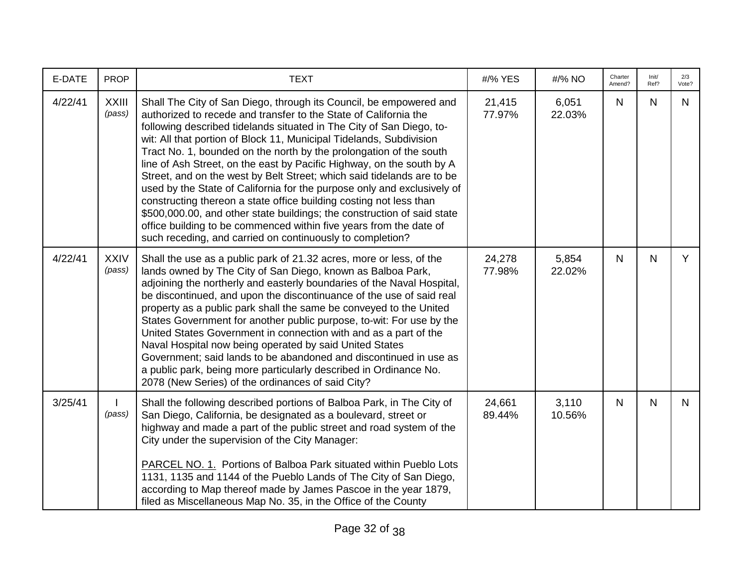| E-DATE  | <b>PROP</b>            | <b>TEXT</b>                                                                                                                                                                                                                                                                                                                                                                                                                                                                                                                                                                                                                                                                                                                                                                                                                                                                   | #/% YES          | #/% NO          | Charter<br>Amend? | Init/<br>Ref? | 2/3<br>Vote? |
|---------|------------------------|-------------------------------------------------------------------------------------------------------------------------------------------------------------------------------------------------------------------------------------------------------------------------------------------------------------------------------------------------------------------------------------------------------------------------------------------------------------------------------------------------------------------------------------------------------------------------------------------------------------------------------------------------------------------------------------------------------------------------------------------------------------------------------------------------------------------------------------------------------------------------------|------------------|-----------------|-------------------|---------------|--------------|
| 4/22/41 | <b>XXIII</b><br>(pass) | Shall The City of San Diego, through its Council, be empowered and<br>authorized to recede and transfer to the State of California the<br>following described tidelands situated in The City of San Diego, to-<br>wit: All that portion of Block 11, Municipal Tidelands, Subdivision<br>Tract No. 1, bounded on the north by the prolongation of the south<br>line of Ash Street, on the east by Pacific Highway, on the south by A<br>Street, and on the west by Belt Street; which said tidelands are to be<br>used by the State of California for the purpose only and exclusively of<br>constructing thereon a state office building costing not less than<br>\$500,000.00, and other state buildings; the construction of said state<br>office building to be commenced within five years from the date of<br>such receding, and carried on continuously to completion? | 21,415<br>77.97% | 6,051<br>22.03% | N.                | $\mathsf{N}$  | N            |
| 4/22/41 | <b>XXIV</b><br>(pass)  | Shall the use as a public park of 21.32 acres, more or less, of the<br>lands owned by The City of San Diego, known as Balboa Park,<br>adjoining the northerly and easterly boundaries of the Naval Hospital,<br>be discontinued, and upon the discontinuance of the use of said real<br>property as a public park shall the same be conveyed to the United<br>States Government for another public purpose, to-wit: For use by the<br>United States Government in connection with and as a part of the<br>Naval Hospital now being operated by said United States<br>Government; said lands to be abandoned and discontinued in use as<br>a public park, being more particularly described in Ordinance No.<br>2078 (New Series) of the ordinances of said City?                                                                                                              | 24,278<br>77.98% | 5,854<br>22.02% | N.                | $\mathsf{N}$  | Y            |
| 3/25/41 | (pass)                 | Shall the following described portions of Balboa Park, in The City of<br>San Diego, California, be designated as a boulevard, street or<br>highway and made a part of the public street and road system of the<br>City under the supervision of the City Manager:<br>PARCEL NO. 1. Portions of Balboa Park situated within Pueblo Lots<br>1131, 1135 and 1144 of the Pueblo Lands of The City of San Diego,<br>according to Map thereof made by James Pascoe in the year 1879,<br>filed as Miscellaneous Map No. 35, in the Office of the County                                                                                                                                                                                                                                                                                                                              | 24,661<br>89.44% | 3,110<br>10.56% | N                 | $\mathsf{N}$  | N.           |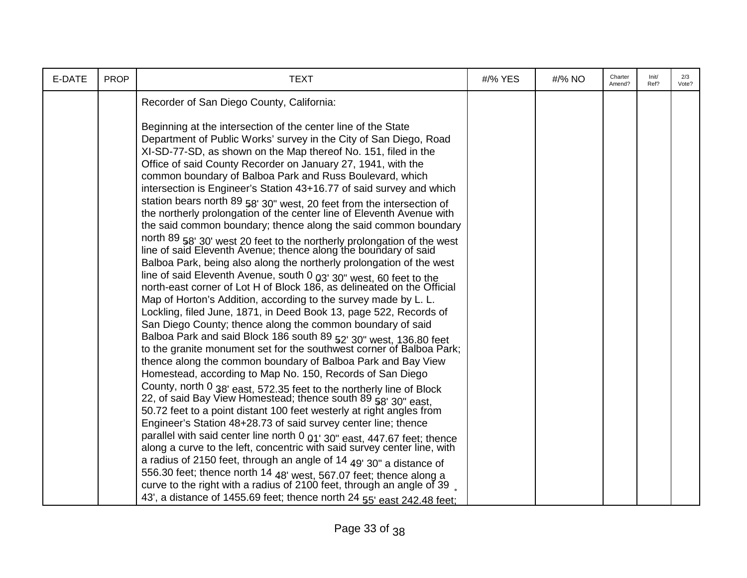| E-DATE | <b>PROP</b> | <b>TEXT</b>                                                                                                                                                                                                                                                                                                                                                                                                                                                                                                                                                                                                                                                                                                                                                                                                                                                                                                                                                                                                                                                                                                                                                                                                                                                                                                                                                                                                                                                                                                                                                                                                                                                                                                                                                                                                                                                                                                              | #/% YES | #/% NO | Charter<br>Amend? | Init/<br>Ref? | 2/3<br>Vote? |
|--------|-------------|--------------------------------------------------------------------------------------------------------------------------------------------------------------------------------------------------------------------------------------------------------------------------------------------------------------------------------------------------------------------------------------------------------------------------------------------------------------------------------------------------------------------------------------------------------------------------------------------------------------------------------------------------------------------------------------------------------------------------------------------------------------------------------------------------------------------------------------------------------------------------------------------------------------------------------------------------------------------------------------------------------------------------------------------------------------------------------------------------------------------------------------------------------------------------------------------------------------------------------------------------------------------------------------------------------------------------------------------------------------------------------------------------------------------------------------------------------------------------------------------------------------------------------------------------------------------------------------------------------------------------------------------------------------------------------------------------------------------------------------------------------------------------------------------------------------------------------------------------------------------------------------------------------------------------|---------|--------|-------------------|---------------|--------------|
|        |             | Recorder of San Diego County, California:                                                                                                                                                                                                                                                                                                                                                                                                                                                                                                                                                                                                                                                                                                                                                                                                                                                                                                                                                                                                                                                                                                                                                                                                                                                                                                                                                                                                                                                                                                                                                                                                                                                                                                                                                                                                                                                                                |         |        |                   |               |              |
|        |             | Beginning at the intersection of the center line of the State<br>Department of Public Works' survey in the City of San Diego, Road<br>XI-SD-77-SD, as shown on the Map thereof No. 151, filed in the<br>Office of said County Recorder on January 27, 1941, with the<br>common boundary of Balboa Park and Russ Boulevard, which<br>intersection is Engineer's Station 43+16.77 of said survey and which<br>station bears north 89 58' 30" west, 20 feet from the intersection of the northerly prolongation of the center line of Eleventh Avenue with<br>the said common boundary; thence along the said common boundary<br>north 89 58' 30' west 20 feet to the northerly prolongation of the west line of said Eleventh Avenue; thence along the boundary of said<br>Balboa Park, being also along the northerly prolongation of the west<br>line of said Eleventh Avenue, south 0 03' 30" west, 60 feet to the<br>north-east corner of Lot H of Block 186, as delineated on the Official<br>Map of Horton's Addition, according to the survey made by L. L.<br>Lockling, filed June, 1871, in Deed Book 13, page 522, Records of<br>San Diego County; thence along the common boundary of said<br>Balboa Park and said Block 186 south 89 52' 30" west, 136,80 feet<br>to the granite monument set for the southwest corner of Balboa Park;<br>thence along the common boundary of Balboa Park and Bay View<br>Homestead, according to Map No. 150, Records of San Diego<br>County, north 0 38' east, 572.35 feet to the northerly line of Block<br>22, of said Bay View Homestead; thence south 89 58' 30" east.<br>50.72 feet to a point distant 100 feet westerly at right angles from<br>Engineer's Station 48+28.73 of said survey center line; thence<br>parallel with said center line north 0 01' 30" east, 447.67 feet; thence<br>along a curve to the left, concentric with said survey center line, with |         |        |                   |               |              |
|        |             | a radius of 2150 feet, through an angle of 14 $49'$ 30" a distance of<br>556.30 feet; thence north 14 48' west, 567.07 feet; thence along a                                                                                                                                                                                                                                                                                                                                                                                                                                                                                                                                                                                                                                                                                                                                                                                                                                                                                                                                                                                                                                                                                                                                                                                                                                                                                                                                                                                                                                                                                                                                                                                                                                                                                                                                                                              |         |        |                   |               |              |
|        |             | curve to the right with a radius of 2100 feet, through an angle of 39<br>43', a distance of 1455.69 feet; thence north 24 55' east 242.48 feet;                                                                                                                                                                                                                                                                                                                                                                                                                                                                                                                                                                                                                                                                                                                                                                                                                                                                                                                                                                                                                                                                                                                                                                                                                                                                                                                                                                                                                                                                                                                                                                                                                                                                                                                                                                          |         |        |                   |               |              |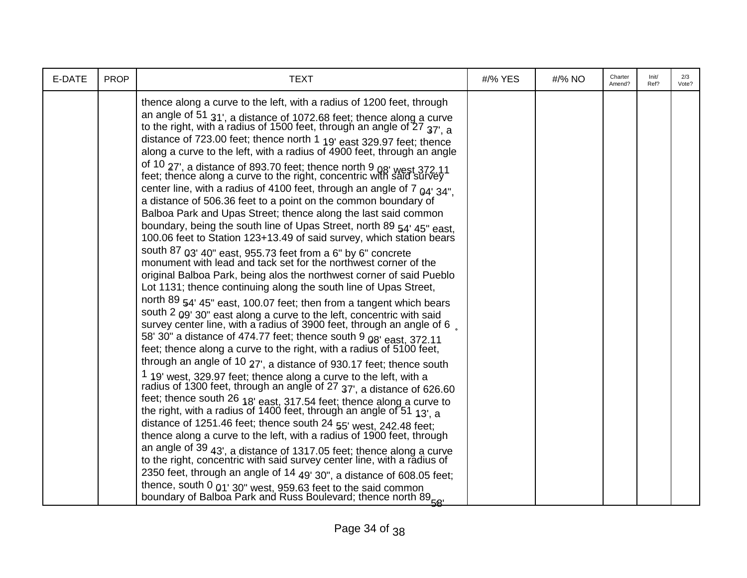| E-DATE | <b>PROP</b> | <b>TEXT</b>                                                                                                                                                                                                                                                                                                                                                                                                                                                                                                                                                                                                                                                                                                                                                                                                                                                                                                                                                                                                                                                                                                                                                                                                                                                                                                                                                                                                                                                                                                                                                                                                                                                                                                                                                                                                                                                                                                                                                                                                                                                                                                                                                                                                                                                                                                                                                                                                                                         | #/% YES | #/% NO | Charter<br>Amend? | Init/<br>Ref? | 2/3<br>Vote? |
|--------|-------------|-----------------------------------------------------------------------------------------------------------------------------------------------------------------------------------------------------------------------------------------------------------------------------------------------------------------------------------------------------------------------------------------------------------------------------------------------------------------------------------------------------------------------------------------------------------------------------------------------------------------------------------------------------------------------------------------------------------------------------------------------------------------------------------------------------------------------------------------------------------------------------------------------------------------------------------------------------------------------------------------------------------------------------------------------------------------------------------------------------------------------------------------------------------------------------------------------------------------------------------------------------------------------------------------------------------------------------------------------------------------------------------------------------------------------------------------------------------------------------------------------------------------------------------------------------------------------------------------------------------------------------------------------------------------------------------------------------------------------------------------------------------------------------------------------------------------------------------------------------------------------------------------------------------------------------------------------------------------------------------------------------------------------------------------------------------------------------------------------------------------------------------------------------------------------------------------------------------------------------------------------------------------------------------------------------------------------------------------------------------------------------------------------------------------------------------------------------|---------|--------|-------------------|---------------|--------------|
|        |             | thence along a curve to the left, with a radius of 1200 feet, through<br>an angle of 51 $31'$ , a distance of 1072.68 feet; thence along a curve to the right, with a radius of 1500 feet, through an angle of 27 $37'$ , a<br>distance of 723.00 feet; thence north 1 19' east 329.97 feet; thence<br>along a curve to the left, with a radius of 4900 feet, through an angle<br>of 10 27', a distance of 893.70 feet; thence north 9 08' west 372.11 feet; thence along a curve to the right, concentric with said survey<br>center line, with a radius of 4100 feet, through an angle of $7_{04'34''}$ ,<br>a distance of 506.36 feet to a point on the common boundary of<br>Balboa Park and Upas Street; thence along the last said common<br>boundary, being the south line of Upas Street, north 89 54' 45" east,<br>100.06 feet to Station 123+13.49 of said survey, which station bears<br>south 87 03' 40" east, 955.73 feet from a 6" by 6" concrete monument with lead and tack set for the northwest corner of the<br>original Balboa Park, being alos the northwest corner of said Pueblo<br>Lot 1131; thence continuing along the south line of Upas Street,<br>north 89 54' 45" east, 100.07 feet; then from a tangent which bears<br>south 2 $09'$ 30" east along a curve to the left, concentric with said survey center line, with a radius of 3900 feet, through an angle of 6.<br>58' 30" a distance of 474.77 feet; thence south 9 08' east, 372.11<br>feet; thence along a curve to the right, with a radius of 5100 feet,<br>through an angle of 10 27', a distance of 930.17 feet; thence south<br>1 19' west, 329.97 feet; thence along a curve to the left, with a radius of 1300 feet, through an angle of $27$ $37'$ , a distance of 626.60<br>feet; thence south 26 $18'$ east, 317.54 feet; thence along a curve to the right, with a radius of 1400 feet, through an angle of 51 $13'$ , a<br>distance of 1251.46 feet; thence south 24 55' west, 242.48 feet;<br>thence along a curve to the left, with a radius of 1900 feet, through<br>an angle of 39 43', a distance of 1317.05 feet; thence along a curve to the right, concentric with said survey center line, with a radius of<br>2350 feet, through an angle of 14 49' 30", a distance of 608.05 feet;<br>thence, south 0 $_{01'}$ 30" west, 959.63 feet to the said common<br>boundary of Balboa Park and Russ Boulevard; thence north 89 <sub>58'</sub> |         |        |                   |               |              |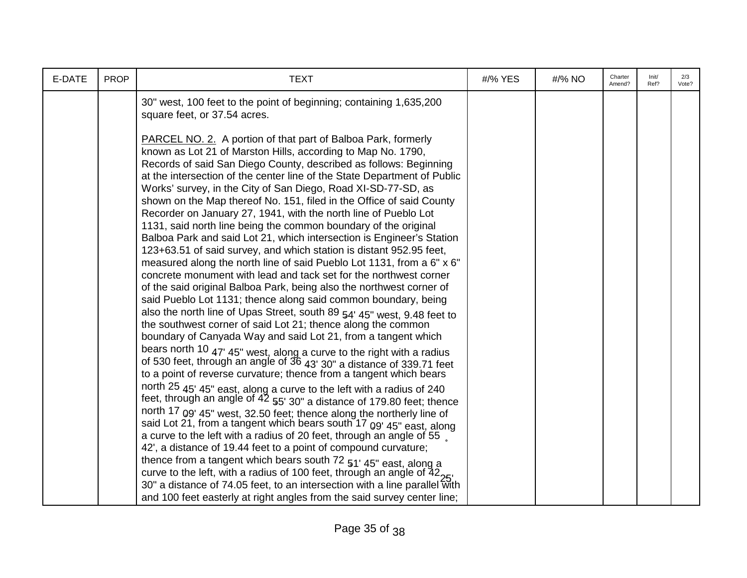| E-DATE | <b>PROP</b> | <b>TEXT</b>                                                                                                                                                                                                                                                                                                                                                                                                                                                                                                                                                                                                                                                                                                                                                                                                                                                                                                                                                                                                                                                                                                                                                                                                                                                                                                                                                                                                                                                                                                                                                                                                                                                                                                                                                                                                                         | #/% YES | #/% NO | Charter<br>Amend? | Init/<br>Ref? | 2/3<br>Vote? |
|--------|-------------|-------------------------------------------------------------------------------------------------------------------------------------------------------------------------------------------------------------------------------------------------------------------------------------------------------------------------------------------------------------------------------------------------------------------------------------------------------------------------------------------------------------------------------------------------------------------------------------------------------------------------------------------------------------------------------------------------------------------------------------------------------------------------------------------------------------------------------------------------------------------------------------------------------------------------------------------------------------------------------------------------------------------------------------------------------------------------------------------------------------------------------------------------------------------------------------------------------------------------------------------------------------------------------------------------------------------------------------------------------------------------------------------------------------------------------------------------------------------------------------------------------------------------------------------------------------------------------------------------------------------------------------------------------------------------------------------------------------------------------------------------------------------------------------------------------------------------------------|---------|--------|-------------------|---------------|--------------|
|        |             | 30" west, 100 feet to the point of beginning; containing 1,635,200<br>square feet, or 37.54 acres.                                                                                                                                                                                                                                                                                                                                                                                                                                                                                                                                                                                                                                                                                                                                                                                                                                                                                                                                                                                                                                                                                                                                                                                                                                                                                                                                                                                                                                                                                                                                                                                                                                                                                                                                  |         |        |                   |               |              |
|        |             | <b>PARCEL NO. 2.</b> A portion of that part of Balboa Park, formerly<br>known as Lot 21 of Marston Hills, according to Map No. 1790,<br>Records of said San Diego County, described as follows: Beginning<br>at the intersection of the center line of the State Department of Public<br>Works' survey, in the City of San Diego, Road XI-SD-77-SD, as<br>shown on the Map thereof No. 151, filed in the Office of said County<br>Recorder on January 27, 1941, with the north line of Pueblo Lot<br>1131, said north line being the common boundary of the original<br>Balboa Park and said Lot 21, which intersection is Engineer's Station<br>123+63.51 of said survey, and which station is distant 952.95 feet,<br>measured along the north line of said Pueblo Lot 1131, from a 6" x 6"<br>concrete monument with lead and tack set for the northwest corner<br>of the said original Balboa Park, being also the northwest corner of<br>said Pueblo Lot 1131; thence along said common boundary, being<br>also the north line of Upas Street, south 89 54' 45" west, 9.48 feet to<br>the southwest corner of said Lot 21; thence along the common<br>boundary of Canyada Way and said Lot 21, from a tangent which<br>bears north 10 $47'$ 45" west, along a curve to the right with a radius of 530 feet, through an angle of $36$ $43'$ $30''$ a distance of 339.71 feet<br>to a point of reverse curvature; thence from a tangent which bears<br>north 25 45' 45" east, along a curve to the left with a radius of 240<br>feet, through an angle of 42 55' 30" a distance of 179.80 feet; thence<br>north 17 09' 45" west, 32.50 feet; thence along the northerly line of<br>said Lot 21, from a tangent which bears south 17 09' 45" east, along<br>a curve to the left with a radius of 20 feet, through an angle of 55, |         |        |                   |               |              |
|        |             | 42', a distance of 19.44 feet to a point of compound curvature;<br>thence from a tangent which bears south 72 51' 45" east, along a<br>curve to the left, with a radius of 100 feet, through an angle of $42_{25}$                                                                                                                                                                                                                                                                                                                                                                                                                                                                                                                                                                                                                                                                                                                                                                                                                                                                                                                                                                                                                                                                                                                                                                                                                                                                                                                                                                                                                                                                                                                                                                                                                  |         |        |                   |               |              |
|        |             | 30" a distance of 74.05 feet, to an intersection with a line parallel with<br>and 100 feet easterly at right angles from the said survey center line;                                                                                                                                                                                                                                                                                                                                                                                                                                                                                                                                                                                                                                                                                                                                                                                                                                                                                                                                                                                                                                                                                                                                                                                                                                                                                                                                                                                                                                                                                                                                                                                                                                                                               |         |        |                   |               |              |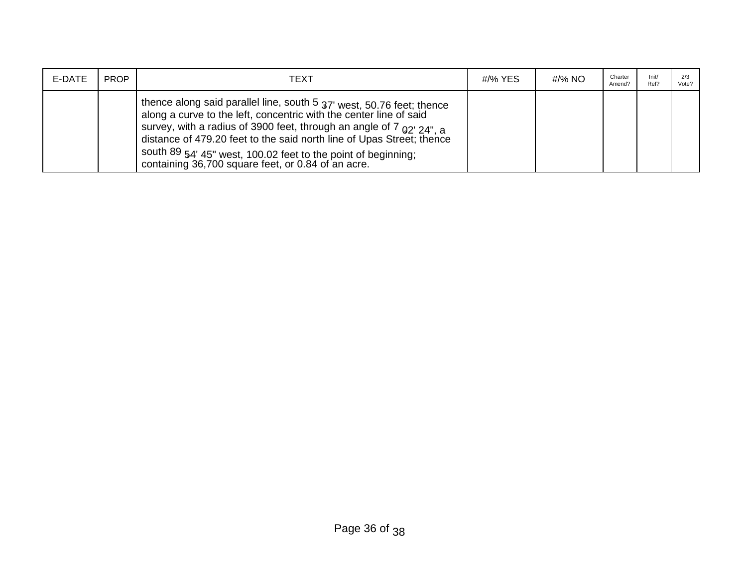| E-DATE | <b>PROP</b> | TEXT                                                                                                                                                                                                                                                                                                                                                                                                                        | #/% YES | #/% NO | Charter<br>Amend? | Init/<br>Ref? | Vote? |
|--------|-------------|-----------------------------------------------------------------------------------------------------------------------------------------------------------------------------------------------------------------------------------------------------------------------------------------------------------------------------------------------------------------------------------------------------------------------------|---------|--------|-------------------|---------------|-------|
|        |             | thence along said parallel line, south 5 37' west, 50.76 feet; thence<br>along a curve to the left, concentric with the center line of said<br>survey, with a radius of 3900 feet, through an angle of 7 $_{02'24''}$ , a<br>distance of 479.20 feet to the said north line of Upas Street; thence<br>south 89 54' 45" west, 100.02 feet to the point of beginning;<br>  containing 36,700 square feet, or 0.84 of an acre. |         |        |                   |               |       |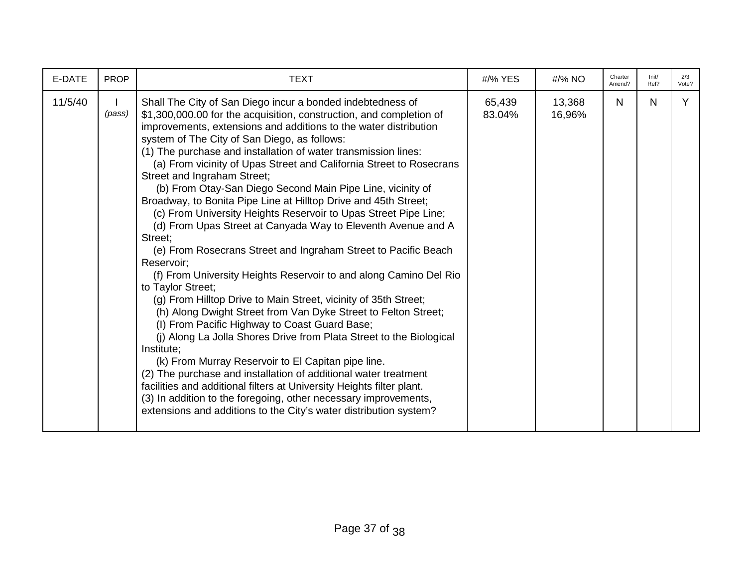| E-DATE  | <b>PROP</b> | <b>TEXT</b>                                                                                                                                                                                                                                                                                                                                                                                                                                                                                                                                                                                                                                                                                                                                                                                                                                                                                                                                                                                                                                                                                                                                                                                                                                                                                                                                                                                                                                                                                                 | #/% YES          | #/% NO           | Charter<br>Amend? | Init/<br>Ref? | 2/3<br>Vote? |
|---------|-------------|-------------------------------------------------------------------------------------------------------------------------------------------------------------------------------------------------------------------------------------------------------------------------------------------------------------------------------------------------------------------------------------------------------------------------------------------------------------------------------------------------------------------------------------------------------------------------------------------------------------------------------------------------------------------------------------------------------------------------------------------------------------------------------------------------------------------------------------------------------------------------------------------------------------------------------------------------------------------------------------------------------------------------------------------------------------------------------------------------------------------------------------------------------------------------------------------------------------------------------------------------------------------------------------------------------------------------------------------------------------------------------------------------------------------------------------------------------------------------------------------------------------|------------------|------------------|-------------------|---------------|--------------|
| 11/5/40 | (pass)      | Shall The City of San Diego incur a bonded indebtedness of<br>\$1,300,000.00 for the acquisition, construction, and completion of<br>improvements, extensions and additions to the water distribution<br>system of The City of San Diego, as follows:<br>(1) The purchase and installation of water transmission lines:<br>(a) From vicinity of Upas Street and California Street to Rosecrans<br>Street and Ingraham Street;<br>(b) From Otay-San Diego Second Main Pipe Line, vicinity of<br>Broadway, to Bonita Pipe Line at Hilltop Drive and 45th Street;<br>(c) From University Heights Reservoir to Upas Street Pipe Line;<br>(d) From Upas Street at Canyada Way to Eleventh Avenue and A<br>Street;<br>(e) From Rosecrans Street and Ingraham Street to Pacific Beach<br>Reservoir:<br>(f) From University Heights Reservoir to and along Camino Del Rio<br>to Taylor Street;<br>(g) From Hilltop Drive to Main Street, vicinity of 35th Street;<br>(h) Along Dwight Street from Van Dyke Street to Felton Street;<br>(I) From Pacific Highway to Coast Guard Base;<br>(j) Along La Jolla Shores Drive from Plata Street to the Biological<br>Institute;<br>(k) From Murray Reservoir to El Capitan pipe line.<br>(2) The purchase and installation of additional water treatment<br>facilities and additional filters at University Heights filter plant.<br>(3) In addition to the foregoing, other necessary improvements,<br>extensions and additions to the City's water distribution system? | 65,439<br>83.04% | 13,368<br>16,96% | $\mathsf{N}$      | $\mathsf{N}$  | Y            |